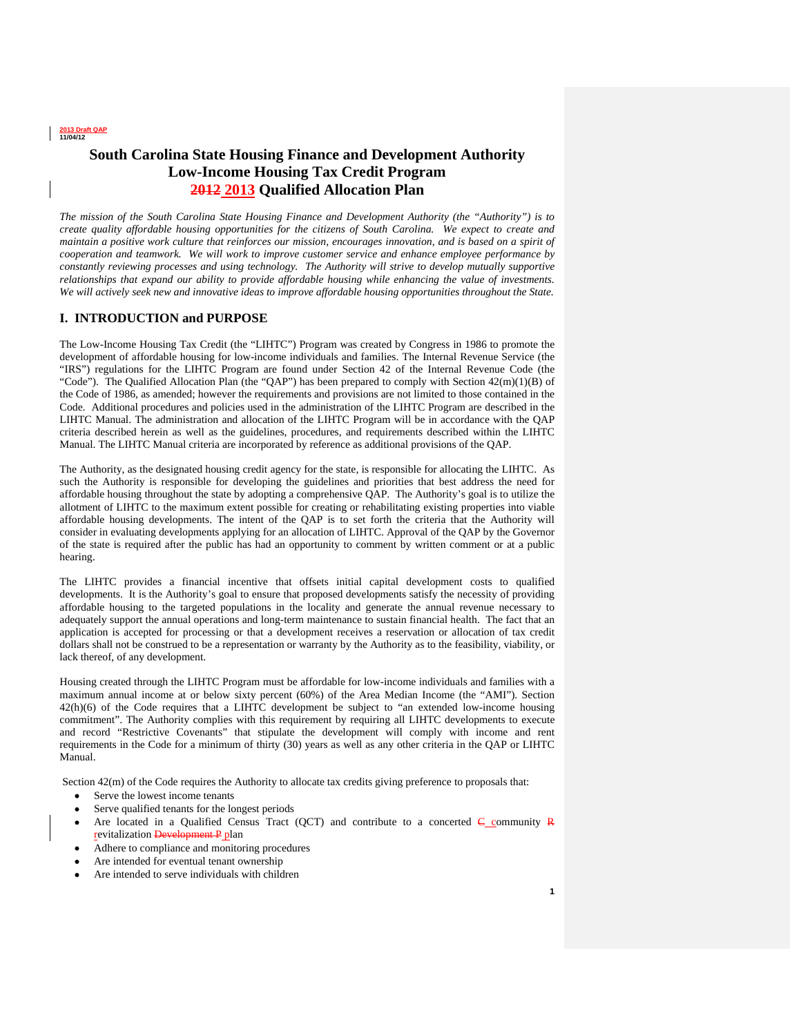

# **South Carolina State Housing Finance and Development Authority Low-Income Housing Tax Credit Program 2012 2013 Qualified Allocation Plan**

*The mission of the South Carolina State Housing Finance and Development Authority (the "Authority") is to create quality affordable housing opportunities for the citizens of South Carolina. We expect to create and maintain a positive work culture that reinforces our mission, encourages innovation, and is based on a spirit of cooperation and teamwork. We will work to improve customer service and enhance employee performance by constantly reviewing processes and using technology. The Authority will strive to develop mutually supportive relationships that expand our ability to provide affordable housing while enhancing the value of investments. We will actively seek new and innovative ideas to improve affordable housing opportunities throughout the State.* 

## **I. INTRODUCTION and PURPOSE**

The Low-Income Housing Tax Credit (the "LIHTC") Program was created by Congress in 1986 to promote the development of affordable housing for low-income individuals and families. The Internal Revenue Service (the "IRS") regulations for the LIHTC Program are found under Section 42 of the Internal Revenue Code (the "Code"). The Qualified Allocation Plan (the "QAP") has been prepared to comply with Section  $42(m)(1)(B)$  of the Code of 1986, as amended; however the requirements and provisions are not limited to those contained in the Code. Additional procedures and policies used in the administration of the LIHTC Program are described in the LIHTC Manual. The administration and allocation of the LIHTC Program will be in accordance with the QAP criteria described herein as well as the guidelines, procedures, and requirements described within the LIHTC Manual. The LIHTC Manual criteria are incorporated by reference as additional provisions of the QAP.

The Authority, as the designated housing credit agency for the state, is responsible for allocating the LIHTC. As such the Authority is responsible for developing the guidelines and priorities that best address the need for affordable housing throughout the state by adopting a comprehensive QAP. The Authority's goal is to utilize the allotment of LIHTC to the maximum extent possible for creating or rehabilitating existing properties into viable affordable housing developments. The intent of the QAP is to set forth the criteria that the Authority will consider in evaluating developments applying for an allocation of LIHTC. Approval of the QAP by the Governor of the state is required after the public has had an opportunity to comment by written comment or at a public hearing.

The LIHTC provides a financial incentive that offsets initial capital development costs to qualified developments. It is the Authority's goal to ensure that proposed developments satisfy the necessity of providing affordable housing to the targeted populations in the locality and generate the annual revenue necessary to adequately support the annual operations and long-term maintenance to sustain financial health. The fact that an application is accepted for processing or that a development receives a reservation or allocation of tax credit dollars shall not be construed to be a representation or warranty by the Authority as to the feasibility, viability, or lack thereof, of any development.

Housing created through the LIHTC Program must be affordable for low-income individuals and families with a maximum annual income at or below sixty percent (60%) of the Area Median Income (the "AMI"). Section 42(h)(6) of the Code requires that a LIHTC development be subject to "an extended low-income housing commitment". The Authority complies with this requirement by requiring all LIHTC developments to execute and record "Restrictive Covenants" that stipulate the development will comply with income and rent requirements in the Code for a minimum of thirty (30) years as well as any other criteria in the QAP or LIHTC Manual.

Section 42(m) of the Code requires the Authority to allocate tax credits giving preference to proposals that:

- Serve the lowest income tenants
- Serve qualified tenants for the longest periods
- Are located in a Qualified Census Tract (OCT) and contribute to a concerted  $\epsilon$  community  $\bf{R}$ revitalization Development P plan
- Adhere to compliance and monitoring procedures
- Are intended for eventual tenant ownership
- Are intended to serve individuals with children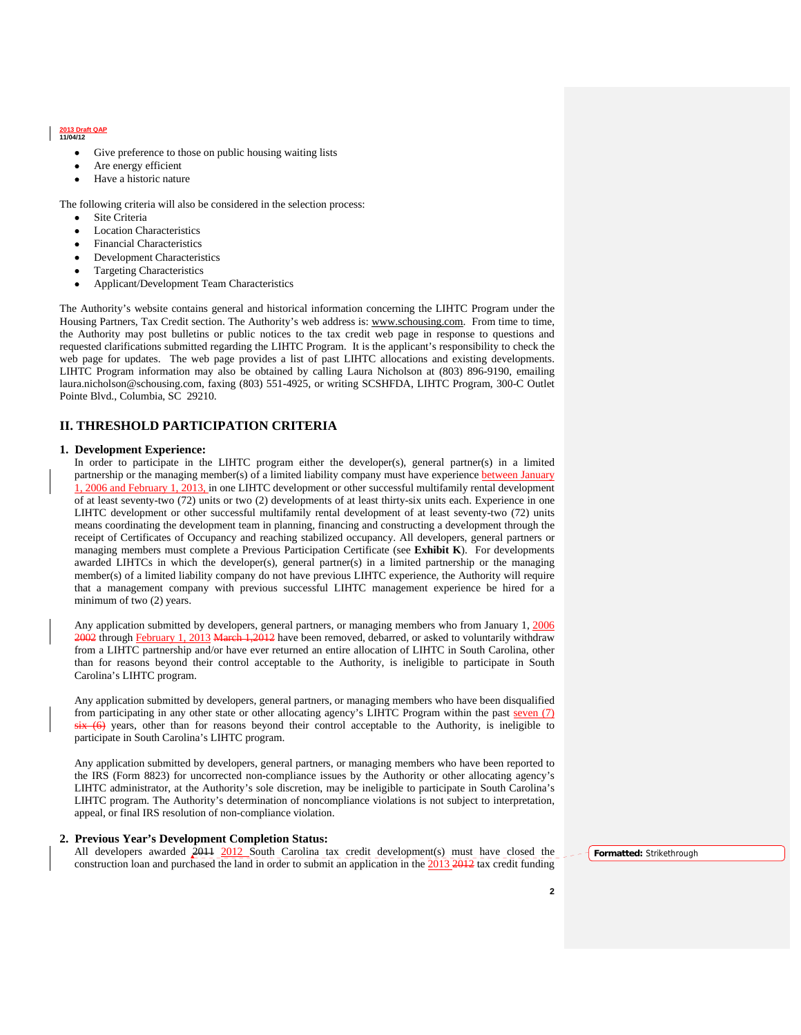- Give preference to those on public housing waiting lists
- Are energy efficient
- Have a historic nature

The following criteria will also be considered in the selection process:

- Site Criteria
- Location Characteristics
- Financial Characteristics
- Development Characteristics
- Targeting Characteristics
- Applicant/Development Team Characteristics

The Authority's website contains general and historical information concerning the LIHTC Program under the Housing Partners, Tax Credit section. The Authority's web address is: www.schousing.com. From time to time, the Authority may post bulletins or public notices to the tax credit web page in response to questions and requested clarifications submitted regarding the LIHTC Program. It is the applicant's responsibility to check the web page for updates. The web page provides a list of past LIHTC allocations and existing developments. LIHTC Program information may also be obtained by calling Laura Nicholson at (803) 896-9190, emailing laura.nicholson@schousing.com, faxing (803) 551-4925, or writing SCSHFDA, LIHTC Program, 300-C Outlet Pointe Blvd., Columbia, SC 29210.

# **II. THRESHOLD PARTICIPATION CRITERIA**

#### **1. Development Experience:**

In order to participate in the LIHTC program either the developer(s), general partner(s) in a limited partnership or the managing member(s) of a limited liability company must have experience between January 1, 2006 and February 1, 2013, in one LIHTC development or other successful multifamily rental development of at least seventy-two (72) units or two (2) developments of at least thirty-six units each. Experience in one LIHTC development or other successful multifamily rental development of at least seventy-two (72) units means coordinating the development team in planning, financing and constructing a development through the receipt of Certificates of Occupancy and reaching stabilized occupancy. All developers, general partners or managing members must complete a Previous Participation Certificate (see **Exhibit K**). For developments awarded LIHTCs in which the developer(s), general partner(s) in a limited partnership or the managing member(s) of a limited liability company do not have previous LIHTC experience, the Authority will require that a management company with previous successful LIHTC management experience be hired for a minimum of two (2) years.

Any application submitted by developers, general partners, or managing members who from January 1, 2006 2002 through February 1, 2013 March 1,2012 have been removed, debarred, or asked to voluntarily withdraw from a LIHTC partnership and/or have ever returned an entire allocation of LIHTC in South Carolina, other than for reasons beyond their control acceptable to the Authority, is ineligible to participate in South Carolina's LIHTC program.

Any application submitted by developers, general partners, or managing members who have been disqualified from participating in any other state or other allocating agency's LIHTC Program within the past seven  $(7)$  $s$ ix  $(6)$  years, other than for reasons beyond their control acceptable to the Authority, is ineligible to participate in South Carolina's LIHTC program.

Any application submitted by developers, general partners, or managing members who have been reported to the IRS (Form 8823) for uncorrected non-compliance issues by the Authority or other allocating agency's LIHTC administrator, at the Authority's sole discretion, may be ineligible to participate in South Carolina's LIHTC program. The Authority's determination of noncompliance violations is not subject to interpretation, appeal, or final IRS resolution of non-compliance violation.

#### **2. Previous Year's Development Completion Status:**

All developers awarded  $2011$  2012 South Carolina tax credit development(s) must have closed the construction loan and purchased the land in order to submit an application in the  $\frac{2013}{2012}$  tax credit funding

**Formatted:** Strikethrough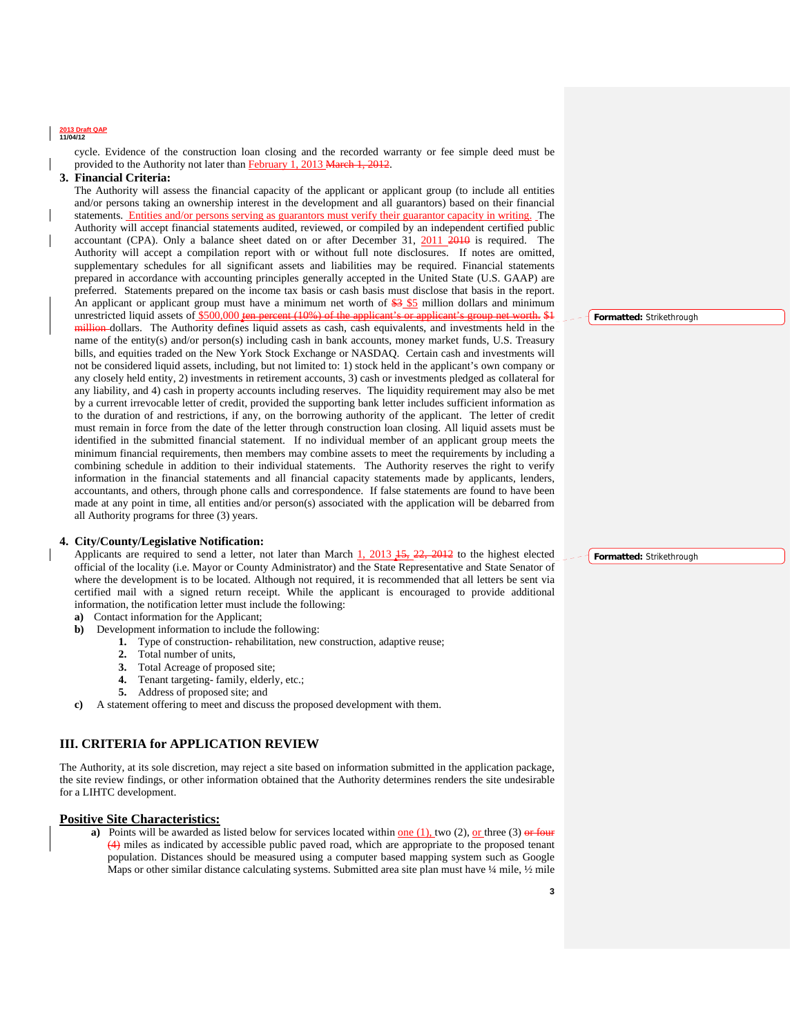cycle. Evidence of the construction loan closing and the recorded warranty or fee simple deed must be provided to the Authority not later than February 1, 2013 March 1, 2012.

#### **3. Financial Criteria:**

The Authority will assess the financial capacity of the applicant or applicant group (to include all entities and/or persons taking an ownership interest in the development and all guarantors) based on their financial statements. Entities and/or persons serving as guarantors must verify their guarantor capacity in writing. The Authority will accept financial statements audited, reviewed, or compiled by an independent certified public accountant (CPA). Only a balance sheet dated on or after December 31, 2011 2010 is required. The Authority will accept a compilation report with or without full note disclosures. If notes are omitted, supplementary schedules for all significant assets and liabilities may be required. Financial statements prepared in accordance with accounting principles generally accepted in the United State (U.S. GAAP) are preferred. Statements prepared on the income tax basis or cash basis must disclose that basis in the report. An applicant or applicant group must have a minimum net worth of \$3 \$5 million dollars and minimum unrestricted liquid assets of \$500,000 ten percent (10%) of the applicant's or applicant's group net worth. \$1 million dollars. The Authority defines liquid assets as cash, cash equivalents, and investments held in the name of the entity(s) and/or person(s) including cash in bank accounts, money market funds, U.S. Treasury bills, and equities traded on the New York Stock Exchange or NASDAQ. Certain cash and investments will not be considered liquid assets, including, but not limited to: 1) stock held in the applicant's own company or any closely held entity, 2) investments in retirement accounts, 3) cash or investments pledged as collateral for any liability, and 4) cash in property accounts including reserves. The liquidity requirement may also be met by a current irrevocable letter of credit, provided the supporting bank letter includes sufficient information as to the duration of and restrictions, if any, on the borrowing authority of the applicant. The letter of credit must remain in force from the date of the letter through construction loan closing. All liquid assets must be identified in the submitted financial statement. If no individual member of an applicant group meets the minimum financial requirements, then members may combine assets to meet the requirements by including a combining schedule in addition to their individual statements. The Authority reserves the right to verify information in the financial statements and all financial capacity statements made by applicants, lenders, accountants, and others, through phone calls and correspondence. If false statements are found to have been made at any point in time, all entities and/or person(s) associated with the application will be debarred from all Authority programs for three (3) years.

#### **4. City/County/Legislative Notification:**

Applicants are required to send a letter, not later than March  $1$ ,  $2013$ ,  $\frac{15}{12}$ ,  $22$ ,  $2012$  to the highest elected official of the locality (i.e. Mayor or County Administrator) and the State Representative and State Senator of where the development is to be located. Although not required, it is recommended that all letters be sent via certified mail with a signed return receipt. While the applicant is encouraged to provide additional information, the notification letter must include the following:

**a)** Contact information for the Applicant;

- **b)** Development information to include the following:
	- **1.** Type of construction- rehabilitation, new construction, adaptive reuse;
	- **2.** Total number of units,
	- **3.** Total Acreage of proposed site;
	- **4.** Tenant targeting- family, elderly, etc.;
	- **5.** Address of proposed site; and
- **c)** A statement offering to meet and discuss the proposed development with them.

#### **III. CRITERIA for APPLICATION REVIEW**

The Authority, at its sole discretion, may reject a site based on information submitted in the application package, the site review findings, or other information obtained that the Authority determines renders the site undesirable for a LIHTC development.

#### **Positive Site Characteristics:**

**a)** Points will be awarded as listed below for services located within one  $(1)$ , two  $(2)$ , or three  $(3)$  or four (4) miles as indicated by accessible public paved road, which are appropriate to the proposed tenant population. Distances should be measured using a computer based mapping system such as Google Maps or other similar distance calculating systems. Submitted area site plan must have 1/4 mile, 1/2 mile

**Formatted:** Strikethrough

#### **Formatted:** Strikethrough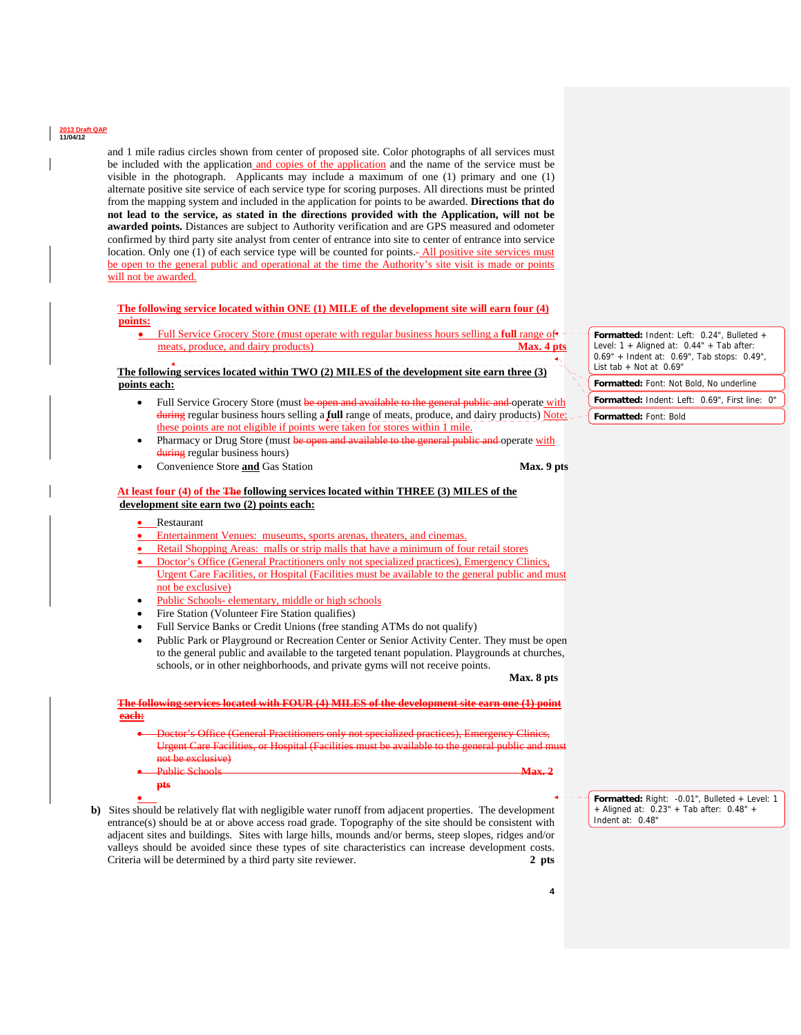

and 1 mile radius circles shown from center of proposed site. Color photographs of all services must be included with the application and copies of the application and the name of the service must be visible in the photograph. Applicants may include a maximum of one (1) primary and one (1) alternate positive site service of each service type for scoring purposes. All directions must be printed from the mapping system and included in the application for points to be awarded. **Directions that do not lead to the service, as stated in the directions provided with the Application, will not be awarded points.** Distances are subject to Authority verification and are GPS measured and odometer confirmed by third party site analyst from center of entrance into site to center of entrance into service location. Only one (1) of each service type will be counted for points. All positive site services must be open to the general public and operational at the time the Authority's site visit is made or points will not be awarded.

#### **The following service located within ONE (1) MILE of the development site will earn four (4) points:**

• Full Service Grocery Store (must operate with regular business hours selling a **full** range of  $\sim$ meats, produce, and dairy products) **Max. 4 pts** 

#### **The following services located within TWO (2) MILES of the development site earn three (3) points each:**

- Full Service Grocery Store (must be open and available to the general public and operate with during regular business hours selling a **full** range of meats, produce, and dairy products) Note: these points are not eligible if points were taken for stores within 1 mile.
- Pharmacy or Drug Store (must be open and available to the general public and operate with during regular business hours)
- **Convenience Store and Gas Station Max. 9 pts**

#### **At least four (4) of the The following services located within THREE (3) MILES of the development site earn two (2) points each:**

- Restaurant
- Entertainment Venues: museums, sports arenas, theaters, and cinemas.
- Retail Shopping Areas: malls or strip malls that have a minimum of four retail stores
- Doctor's Office (General Practitioners only not specialized practices), Emergency Clinics, Urgent Care Facilities, or Hospital (Facilities must be available to the general public and must not be exclusive)
- Public Schools- elementary, middle or high schools
- Fire Station (Volunteer Fire Station qualifies)
- Full Service Banks or Credit Unions (free standing ATMs do not qualify)
- Public Park or Playground or Recreation Center or Senior Activity Center. They must be open to the general public and available to the targeted tenant population. Playgrounds at churches, schools, or in other neighborhoods, and private gyms will not receive points.

| <u>The following services located with FOUR (4) MILES of the development site earn one (1) point</u> |                                                                                                  |  |  |
|------------------------------------------------------------------------------------------------------|--------------------------------------------------------------------------------------------------|--|--|
| each:                                                                                                |                                                                                                  |  |  |
|                                                                                                      | • Doctor's Office (General Practitioners only not specialized practices), Emergency Clinics,     |  |  |
|                                                                                                      | Urgent Care Facilities, or Hospital (Facilities must be available to the general public and must |  |  |
|                                                                                                      | not he evelucive)<br><u>not be exertisive</u> ,                                                  |  |  |

• Public Schools **Max. 2** 

**Max. 8 pts** 

•

**pts**

**b**) Sites should be relatively flat with negligible water runoff from adjacent properties. The development entrance(s) should be at or above access road grade. Topography of the site should be consistent with adjacent sites and buildings. Sites with large hills, mounds and/or berms, steep slopes, ridges and/or valleys should be avoided since these types of site characteristics can increase development costs. Criteria will be determined by a third party site reviewer. **2 pts**

**Formatted:** Right: -0.01", Bulleted + Level: 1 + Aligned at: 0.23" + Tab after: 0.48" + Indent at: 0.48"

**Formatted:** Indent: Left: 0.24", Bulleted + Level:  $1 +$  Aligned at:  $0.44" +$  Tab after: 0.69" + Indent at: 0.69", Tab stops: 0.49", List tab  $+$  Not at  $0.69"$ **Formatted:** Font: Not Bold, No underline

**Formatted:** Indent: Left: 0.69", First line: 0"

**Formatted:** Font: Bold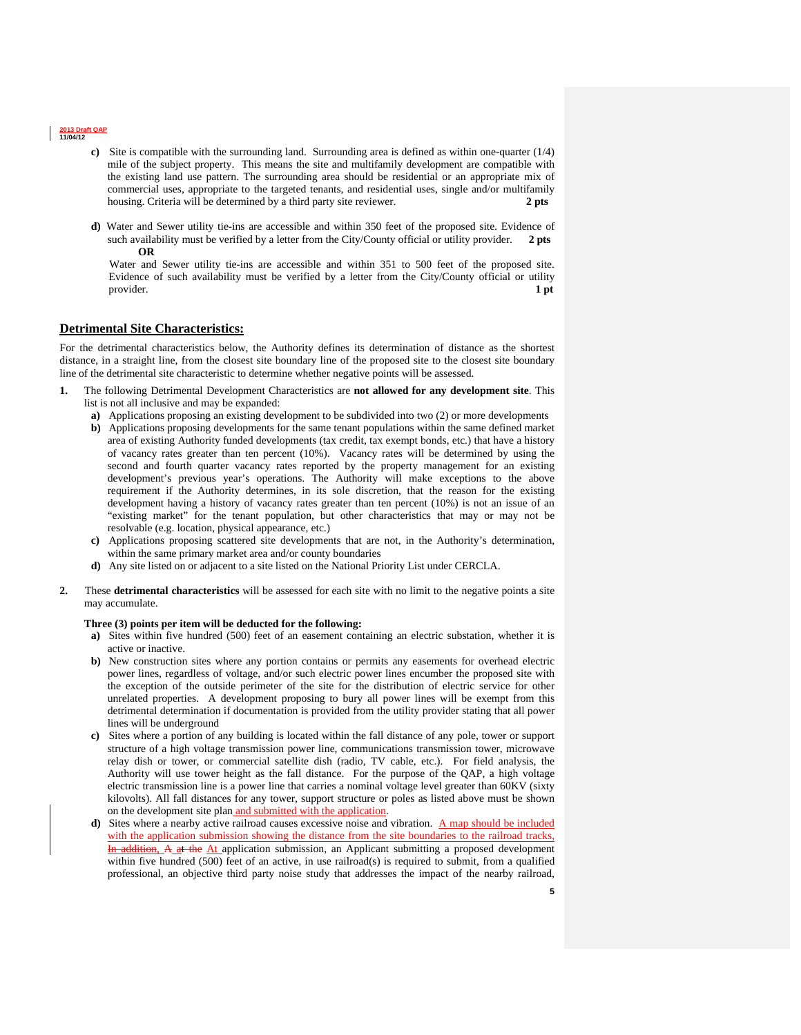- **c)** Site is compatible with the surrounding land. Surrounding area is defined as within one-quarter (1/4) mile of the subject property. This means the site and multifamily development are compatible with the existing land use pattern. The surrounding area should be residential or an appropriate mix of commercial uses, appropriate to the targeted tenants, and residential uses, single and/or multifamily housing. Criteria will be determined by a third party site reviewer. **2 pts**
- **d)** Water and Sewer utility tie-ins are accessible and within 350 feet of the proposed site. Evidence of such availability must be verified by a letter from the City/County official or utility provider. **2 pts OR**

 Water and Sewer utility tie-ins are accessible and within 351 to 500 feet of the proposed site. Evidence of such availability must be verified by a letter from the City/County official or utility provider. **1 pt 1** 

#### **Detrimental Site Characteristics:**

For the detrimental characteristics below, the Authority defines its determination of distance as the shortest distance, in a straight line, from the closest site boundary line of the proposed site to the closest site boundary line of the detrimental site characteristic to determine whether negative points will be assessed.

- **1.** The following Detrimental Development Characteristics are **not allowed for any development site**. This list is not all inclusive and may be expanded:
	- **a)** Applications proposing an existing development to be subdivided into two (2) or more developments
		- **b)** Applications proposing developments for the same tenant populations within the same defined market area of existing Authority funded developments (tax credit, tax exempt bonds, etc.) that have a history of vacancy rates greater than ten percent (10%). Vacancy rates will be determined by using the second and fourth quarter vacancy rates reported by the property management for an existing development's previous year's operations. The Authority will make exceptions to the above requirement if the Authority determines, in its sole discretion, that the reason for the existing development having a history of vacancy rates greater than ten percent (10%) is not an issue of an "existing market" for the tenant population, but other characteristics that may or may not be resolvable (e.g. location, physical appearance, etc.)
		- **c)** Applications proposing scattered site developments that are not, in the Authority's determination, within the same primary market area and/or county boundaries
		- **d)** Any site listed on or adjacent to a site listed on the National Priority List under CERCLA.
- **2.** These **detrimental characteristics** will be assessed for each site with no limit to the negative points a site may accumulate.

#### **Three (3) points per item will be deducted for the following:**

- **a)** Sites within five hundred (500) feet of an easement containing an electric substation, whether it is active or inactive.
- **b)** New construction sites where any portion contains or permits any easements for overhead electric power lines, regardless of voltage, and/or such electric power lines encumber the proposed site with the exception of the outside perimeter of the site for the distribution of electric service for other unrelated properties. A development proposing to bury all power lines will be exempt from this detrimental determination if documentation is provided from the utility provider stating that all power lines will be underground
- **c)** Sites where a portion of any building is located within the fall distance of any pole, tower or support structure of a high voltage transmission power line, communications transmission tower, microwave relay dish or tower, or commercial satellite dish (radio, TV cable, etc.). For field analysis, the Authority will use tower height as the fall distance. For the purpose of the QAP, a high voltage electric transmission line is a power line that carries a nominal voltage level greater than 60KV (sixty kilovolts). All fall distances for any tower, support structure or poles as listed above must be shown on the development site plan and submitted with the application.
- **d**) Sites where a nearby active railroad causes excessive noise and vibration. A map should be included with the application submission showing the distance from the site boundaries to the railroad tracks, In addition, A at the At application submission, an Applicant submitting a proposed development within five hundred (500) feet of an active, in use railroad(s) is required to submit, from a qualified professional, an objective third party noise study that addresses the impact of the nearby railroad,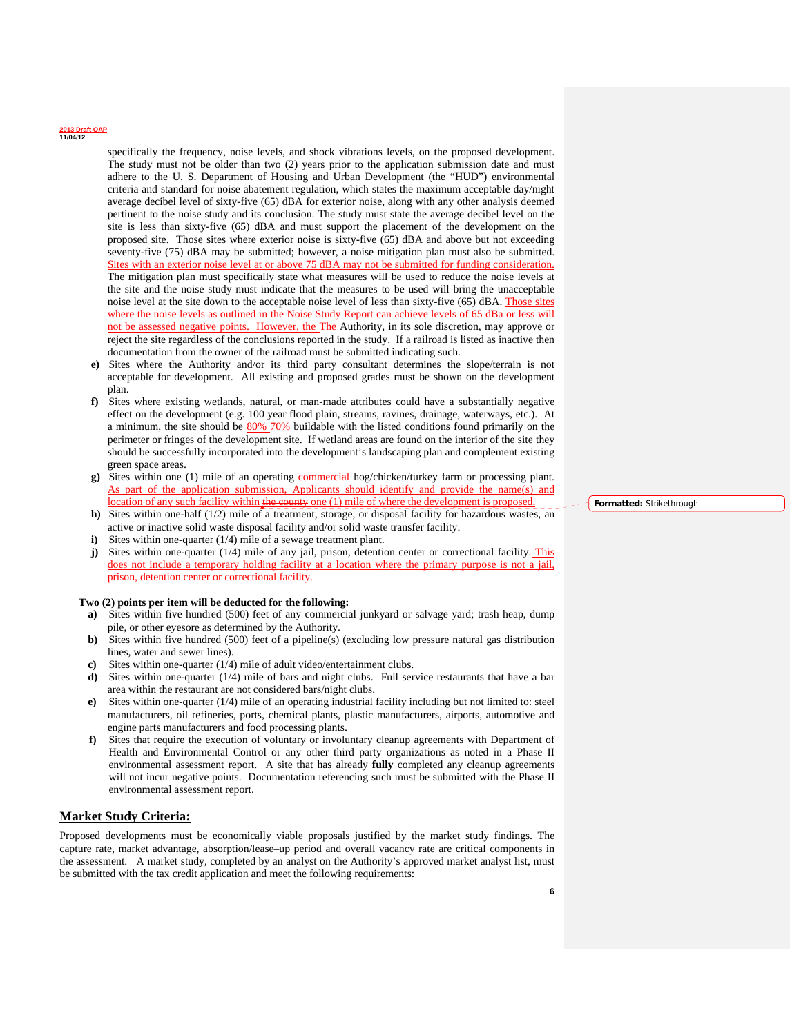specifically the frequency, noise levels, and shock vibrations levels, on the proposed development. The study must not be older than two (2) years prior to the application submission date and must adhere to the U. S. Department of Housing and Urban Development (the "HUD") environmental criteria and standard for noise abatement regulation, which states the maximum acceptable day/night average decibel level of sixty-five (65) dBA for exterior noise, along with any other analysis deemed pertinent to the noise study and its conclusion. The study must state the average decibel level on the site is less than sixty-five (65) dBA and must support the placement of the development on the proposed site. Those sites where exterior noise is sixty-five (65) dBA and above but not exceeding seventy-five (75) dBA may be submitted; however, a noise mitigation plan must also be submitted. Sites with an exterior noise level at or above 75 dBA may not be submitted for funding consideration. The mitigation plan must specifically state what measures will be used to reduce the noise levels at the site and the noise study must indicate that the measures to be used will bring the unacceptable noise level at the site down to the acceptable noise level of less than sixty-five (65) dBA. Those sites where the noise levels as outlined in the Noise Study Report can achieve levels of 65 dBa or less will not be assessed negative points. However, the The Authority, in its sole discretion, may approve or reject the site regardless of the conclusions reported in the study. If a railroad is listed as inactive then documentation from the owner of the railroad must be submitted indicating such.

- **e)** Sites where the Authority and/or its third party consultant determines the slope/terrain is not acceptable for development. All existing and proposed grades must be shown on the development plan.
- **f)** Sites where existing wetlands, natural, or man-made attributes could have a substantially negative effect on the development (e.g. 100 year flood plain, streams, ravines, drainage, waterways, etc.). At a minimum, the site should be 80% 70% buildable with the listed conditions found primarily on the perimeter or fringes of the development site. If wetland areas are found on the interior of the site they should be successfully incorporated into the development's landscaping plan and complement existing green space areas.
- **g)** Sites within one (1) mile of an operating commercial hog/chicken/turkey farm or processing plant. As part of the application submission, Applicants should identify and provide the name(s) and location of any such facility within the county one (1) mile of where the development is proposed.
- **h)** Sites within one-half (1/2) mile of a treatment, storage, or disposal facility for hazardous wastes, an active or inactive solid waste disposal facility and/or solid waste transfer facility.
- **i**) Sites within one-quarter (1/4) mile of a sewage treatment plant.
- **j**) Sites within one-quarter (1/4) mile of any jail, prison, detention center or correctional facility. This does not include a temporary holding facility at a location where the primary purpose is not a jail, prison, detention center or correctional facility.

#### **Two (2) points per item will be deducted for the following:**

- **a)** Sites within five hundred (500) feet of any commercial junkyard or salvage yard; trash heap, dump pile, or other eyesore as determined by the Authority.
- **b**) Sites within five hundred (500) feet of a pipeline(s) (excluding low pressure natural gas distribution lines, water and sewer lines).
- **c)** Sites within one-quarter (1/4) mile of adult video/entertainment clubs.
- **d**) Sites within one-quarter (1/4) mile of bars and night clubs. Full service restaurants that have a bar area within the restaurant are not considered bars/night clubs.
- **e)** Sites within one-quarter (1/4) mile of an operating industrial facility including but not limited to: steel manufacturers, oil refineries, ports, chemical plants, plastic manufacturers, airports, automotive and engine parts manufacturers and food processing plants.
- **f)** Sites that require the execution of voluntary or involuntary cleanup agreements with Department of Health and Environmental Control or any other third party organizations as noted in a Phase II environmental assessment report. A site that has already **fully** completed any cleanup agreements will not incur negative points. Documentation referencing such must be submitted with the Phase II environmental assessment report.

#### **Market Study Criteria:**

Proposed developments must be economically viable proposals justified by the market study findings. The capture rate, market advantage, absorption/lease–up period and overall vacancy rate are critical components in the assessment. A market study, completed by an analyst on the Authority's approved market analyst list, must be submitted with the tax credit application and meet the following requirements:

**Formatted:** Strikethrough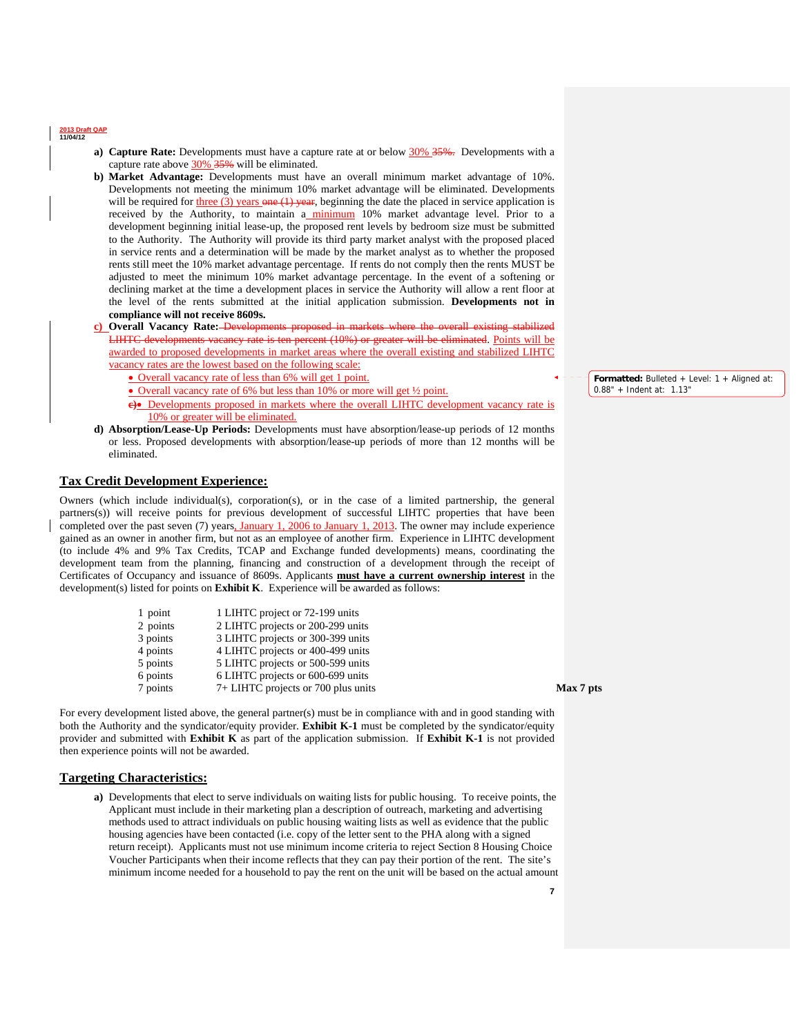- **a) Capture Rate:** Developments must have a capture rate at or below 30% 35%. Developments with a capture rate above 30% 35% will be eliminated.
- **b) Market Advantage:** Developments must have an overall minimum market advantage of 10%. Developments not meeting the minimum 10% market advantage will be eliminated. Developments will be required for three  $(3)$  years one  $(1)$  year, beginning the date the placed in service application is received by the Authority, to maintain a minimum 10% market advantage level. Prior to a development beginning initial lease-up, the proposed rent levels by bedroom size must be submitted to the Authority. The Authority will provide its third party market analyst with the proposed placed in service rents and a determination will be made by the market analyst as to whether the proposed rents still meet the 10% market advantage percentage. If rents do not comply then the rents MUST be adjusted to meet the minimum 10% market advantage percentage. In the event of a softening or declining market at the time a development places in service the Authority will allow a rent floor at the level of the rents submitted at the initial application submission. **Developments not in compliance will not receive 8609s.**
- **c) Overall Vacancy Rate: Development** LIHTC developments vacancy rate is ten percent (10%) or greater will be eliminated. Points will be awarded to proposed developments in market areas where the overall existing and stabilized LIHTC vacancy rates are the lowest based on the following scale:
	- Overall vacancy rate of less than 6% will get 1 point.
	- Overall vacancy rate of 6% but less than 10% or more will get  $\frac{1}{2}$  point.
	- **c)** Developments proposed in markets where the overall LIHTC development vacancy rate is 10% or greater will be eliminated.
- **d) Absorption/Lease-Up Periods:** Developments must have absorption/lease-up periods of 12 months or less. Proposed developments with absorption/lease-up periods of more than 12 months will be eliminated.

# **Tax Credit Development Experience:**

Owners (which include individual(s), corporation(s), or in the case of a limited partnership, the general partners(s)) will receive points for previous development of successful LIHTC properties that have been completed over the past seven (7) years, January 1, 2006 to January 1, 2013. The owner may include experience gained as an owner in another firm, but not as an employee of another firm. Experience in LIHTC development (to include 4% and 9% Tax Credits, TCAP and Exchange funded developments) means, coordinating the development team from the planning, financing and construction of a development through the receipt of Certificates of Occupancy and issuance of 8609s. Applicants **must have a current ownership interest** in the development(s) listed for points on **Exhibit K**. Experience will be awarded as follows:

| 1 point  | 1 LIHTC project or 72-199 units     |
|----------|-------------------------------------|
| 2 points | 2 LIHTC projects or 200-299 units   |
| 3 points | 3 LIHTC projects or 300-399 units   |
| 4 points | 4 LIHTC projects or 400-499 units   |
| 5 points | 5 LIHTC projects or 500-599 units   |
| 6 points | 6 LIHTC projects or 600-699 units   |
| 7 points | 7+ LIHTC projects or 700 plus units |

For every development listed above, the general partner(s) must be in compliance with and in good standing with both the Authority and the syndicator/equity provider. **Exhibit K-1** must be completed by the syndicator/equity provider and submitted with **Exhibit K** as part of the application submission. If **Exhibit K-1** is not provided then experience points will not be awarded.

#### **Targeting Characteristics:**

**a)** Developments that elect to serve individuals on waiting lists for public housing. To receive points, the Applicant must include in their marketing plan a description of outreach, marketing and advertising methods used to attract individuals on public housing waiting lists as well as evidence that the public housing agencies have been contacted (i.e. copy of the letter sent to the PHA along with a signed return receipt). Applicants must not use minimum income criteria to reject Section 8 Housing Choice Voucher Participants when their income reflects that they can pay their portion of the rent. The site's minimum income needed for a household to pay the rent on the unit will be based on the actual amount **Formatted:** Bulleted + Level: 1 + Aligned at: 0.88" + Indent at: 1.13"

 $Max 7 pts$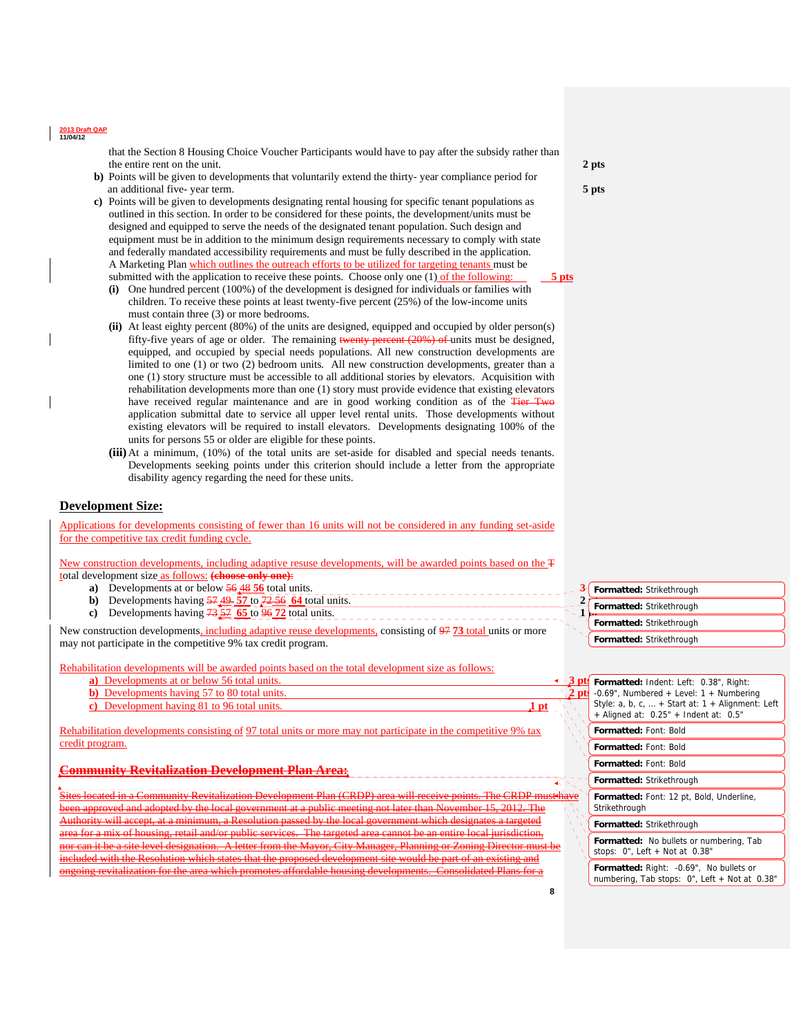that the Section 8 Housing Choice Voucher Participants would have to pay after the subsidy rather than the entire rent on the unit. **2 pts**

- **b)** Points will be given to developments that voluntarily extend the thirty- year compliance period for an additional five- year term. **5 pts**
- **c)** Points will be given to developments designating rental housing for specific tenant populations as outlined in this section. In order to be considered for these points, the development/units must be designed and equipped to serve the needs of the designated tenant population. Such design and equipment must be in addition to the minimum design requirements necessary to comply with state and federally mandated accessibility requirements and must be fully described in the application. A Marketing Plan which outlines the outreach efforts to be utilized for targeting tenants must be submitted with the application to receive these points. Choose only one (1) of the following: **5 pts**
	- **(i)** One hundred percent (100%) of the development is designed for individuals or families with children. To receive these points at least twenty-five percent (25%) of the low-income units must contain three (3) or more bedrooms.
	- **(ii)** At least eighty percent (80%) of the units are designed, equipped and occupied by older person(s) fifty-five years of age or older. The remaining twenty percent (20%) of units must be designed, equipped, and occupied by special needs populations. All new construction developments are limited to one (1) or two (2) bedroom units*.* All new construction developments, greater than a one (1) story structure must be accessible to all additional stories by elevators. Acquisition with rehabilitation developments more than one (1) story must provide evidence that existing elevators have received regular maintenance and are in good working condition as of the Fier Two application submittal date to service all upper level rental units. Those developments without existing elevators will be required to install elevators. Developments designating 100% of the units for persons 55 or older are eligible for these points.
	- **(iii)** At a minimum, (10%) of the total units are set-aside for disabled and special needs tenants. Developments seeking points under this criterion should include a letter from the appropriate disability agency regarding the need for these units.

#### **Development Size:**

Applications for developments consisting of fewer than 16 units will not be considered in any funding set-aside for the competitive tax credit funding cycle.

New construction developments, including adaptive resuse developments, will be awarded points based on the T total development size as follows: **(choose only one)**:

- **a**) Developments at or below  $\frac{56}{48} \frac{18}{56}$  total units.
- **b**) Developments having  $\frac{57.49}{25}$  to  $\frac{72.56}{25}$  **64** total units.
- **c**) Developments having  $\frac{73}{57}$  **65** to  $\frac{96}{72}$  total units.

New construction developments, including adaptive reuse developments, consisting of 97 **73** total units or more may not participate in the competitive 9% tax credit program.

Rehabilitation developments will be awarded points based on the total development size as follows:

| <b>a</b> ) Developments at or below 56 total units.  |  |
|------------------------------------------------------|--|
| <b>b</b> ) Developments having 57 to 80 total units. |  |
| c) Development having 81 to 96 total units.          |  |

Rehabilitation developments consisting of 97 total units or more may not participate in the competitive 9% tax credit program.

#### **Community Revitalization Development Plan Area:**

Sites located in a Community Revitalization Development Plan (CRDP) area will receive points. The CRDP must have been approved and adopted by the local government at a public meeting not later than November 15, 2012. The solution passed by the local area for a mix of housing, retail and/or public services. The targeted area cannot be an entire local jurisdiction, nor can it be a site level designation. A letter from the Mayor, City Manager, included with the Resolution which states that the proposed development site would be part of an existing and ongoing revitalization for the area which promotes affordable housing developments. Consolidated Plans for a

**Formatted:** Strikethrough **Formatted:** Strikethrough **Formatted:** Strikethrough **Formatted:** Strikethrough

|   | <b>pt</b> Formatted: Indent: Left: 0.38", Right:<br>pt: $-0.69$ ", Numbered + Level: 1 + Numbering   |
|---|------------------------------------------------------------------------------------------------------|
| Ń | Style: a, b, c, $\dots$ + Start at: 1 + Alignment: Left<br>+ Aligned at: $0.25"$ + Indent at: $0.5"$ |
| Ń | <b>Formatted: Font: Bold</b>                                                                         |
| x | Formatted: Font: Bold                                                                                |
|   | <b>Formatted: Font: Bold</b>                                                                         |
|   | Formatted: Strikethrough                                                                             |
|   | Formatted: Font: 12 pt, Bold, Underline,<br>Strikethrough                                            |
| Ñ | Formatted: Strikethrough                                                                             |
|   | <b>Formatted:</b> No bullets or numbering, Tab<br>stops: $0$ ", Left + Not at $0.38$ "               |
|   | Formatted: Right: -0.69", No bullets or<br>numbering, Tab stops: 0", Left + Not at 0.38"             |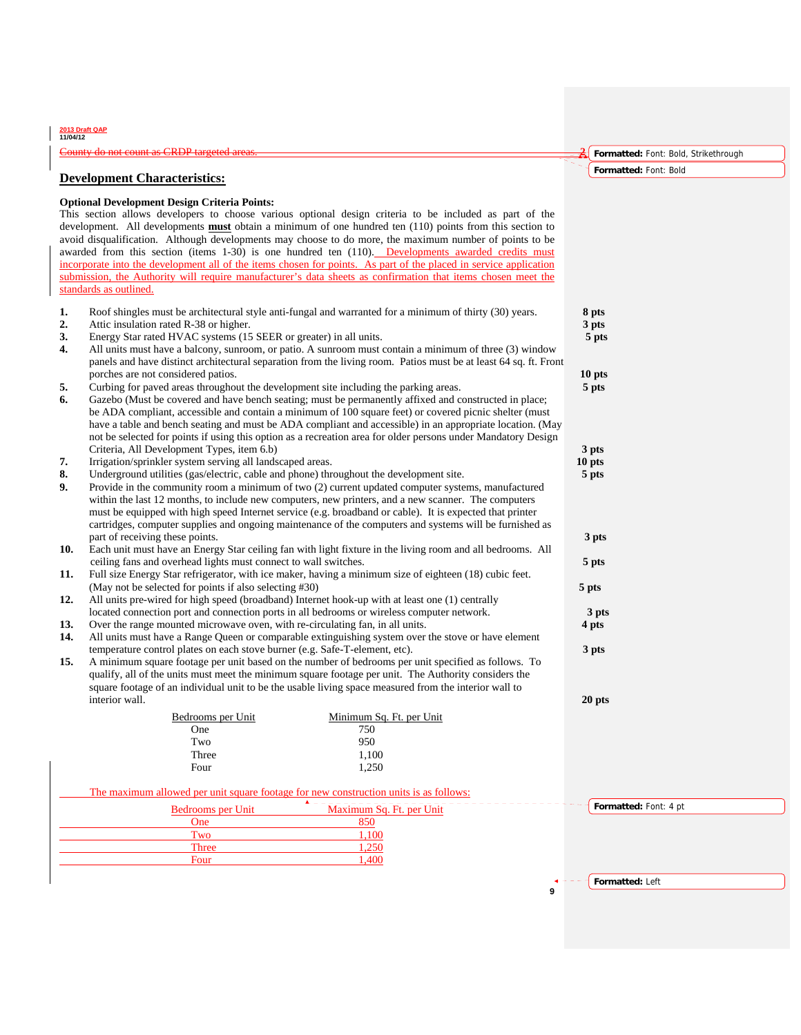|                      | submission, the Authority will require manufacturer's data sheets as confirmation that items chosen meet the<br>standards as outlined.                                                                                                                                                                                                                                                                                                                                                                                                |                                 |   |                         |
|----------------------|---------------------------------------------------------------------------------------------------------------------------------------------------------------------------------------------------------------------------------------------------------------------------------------------------------------------------------------------------------------------------------------------------------------------------------------------------------------------------------------------------------------------------------------|---------------------------------|---|-------------------------|
| 1.<br>2.<br>3.<br>4. | Roof shingles must be architectural style anti-fungal and warranted for a minimum of thirty (30) years.<br>Attic insulation rated R-38 or higher.<br>Energy Star rated HVAC systems (15 SEER or greater) in all units.<br>All units must have a balcony, sunroom, or patio. A sunroom must contain a minimum of three (3) window<br>panels and have distinct architectural separation from the living room. Patios must be at least 64 sq. ft. Front                                                                                  |                                 |   | 8 pts<br>3 pts<br>5 pts |
|                      | porches are not considered patios.                                                                                                                                                                                                                                                                                                                                                                                                                                                                                                    |                                 |   | 10 pts                  |
| 5.<br>6.             | Curbing for paved areas throughout the development site including the parking areas.<br>Gazebo (Must be covered and have bench seating; must be permanently affixed and constructed in place;<br>be ADA compliant, accessible and contain a minimum of 100 square feet) or covered picnic shelter (must<br>have a table and bench seating and must be ADA compliant and accessible) in an appropriate location. (May<br>not be selected for points if using this option as a recreation area for older persons under Mandatory Design |                                 |   | 5 pts                   |
|                      | Criteria, All Development Types, item 6.b)                                                                                                                                                                                                                                                                                                                                                                                                                                                                                            |                                 |   | 3 pts                   |
| 7.<br>8.             | Irrigation/sprinkler system serving all landscaped areas.<br>Underground utilities (gas/electric, cable and phone) throughout the development site.                                                                                                                                                                                                                                                                                                                                                                                   |                                 |   | 10 pts                  |
| 9.                   | Provide in the community room a minimum of two (2) current updated computer systems, manufactured<br>within the last 12 months, to include new computers, new printers, and a new scanner. The computers<br>must be equipped with high speed Internet service (e.g. broadband or cable). It is expected that printer<br>cartridges, computer supplies and ongoing maintenance of the computers and systems will be furnished as<br>part of receiving these points.                                                                    |                                 |   | 5 pts<br>3 pts          |
| 10.                  | Each unit must have an Energy Star ceiling fan with light fixture in the living room and all bedrooms. All<br>ceiling fans and overhead lights must connect to wall switches.                                                                                                                                                                                                                                                                                                                                                         |                                 |   | 5 pts                   |
| 11.                  | Full size Energy Star refrigerator, with ice maker, having a minimum size of eighteen (18) cubic feet.<br>(May not be selected for points if also selecting #30)                                                                                                                                                                                                                                                                                                                                                                      |                                 |   | 5 pts                   |
| 12.                  | All units pre-wired for high speed (broadband) Internet hook-up with at least one (1) centrally<br>located connection port and connection ports in all bedrooms or wireless computer network.                                                                                                                                                                                                                                                                                                                                         |                                 |   | 3 pts                   |
| 13.                  | Over the range mounted microwave oven, with re-circulating fan, in all units.                                                                                                                                                                                                                                                                                                                                                                                                                                                         |                                 |   | 4 pts                   |
| 14.                  | All units must have a Range Queen or comparable extinguishing system over the stove or have element                                                                                                                                                                                                                                                                                                                                                                                                                                   |                                 |   |                         |
| 15.                  | temperature control plates on each stove burner (e.g. Safe-T-element, etc).<br>A minimum square footage per unit based on the number of bedrooms per unit specified as follows. To<br>qualify, all of the units must meet the minimum square footage per unit. The Authority considers the                                                                                                                                                                                                                                            |                                 |   | 3 pts                   |
|                      | square footage of an individual unit to be the usable living space measured from the interior wall to<br>interior wall.                                                                                                                                                                                                                                                                                                                                                                                                               |                                 |   | 20 pts                  |
|                      |                                                                                                                                                                                                                                                                                                                                                                                                                                                                                                                                       |                                 |   |                         |
|                      | Bedrooms per Unit<br>One                                                                                                                                                                                                                                                                                                                                                                                                                                                                                                              | Minimum Sq. Ft. per Unit<br>750 |   |                         |
|                      | Two                                                                                                                                                                                                                                                                                                                                                                                                                                                                                                                                   | 950                             |   |                         |
|                      | Three                                                                                                                                                                                                                                                                                                                                                                                                                                                                                                                                 | 1,100                           |   |                         |
|                      | Four                                                                                                                                                                                                                                                                                                                                                                                                                                                                                                                                  | 1,250                           |   |                         |
|                      | The maximum allowed per unit square footage for new construction units is as follows:                                                                                                                                                                                                                                                                                                                                                                                                                                                 |                                 |   |                         |
|                      | <b>Bedrooms</b> per Unit                                                                                                                                                                                                                                                                                                                                                                                                                                                                                                              | Maximum Sq. Ft. per Unit        |   | Formatted: Font: 4 pt   |
|                      | One                                                                                                                                                                                                                                                                                                                                                                                                                                                                                                                                   | 850                             |   |                         |
|                      | Two                                                                                                                                                                                                                                                                                                                                                                                                                                                                                                                                   | 1.100                           |   |                         |
|                      | <b>Three</b>                                                                                                                                                                                                                                                                                                                                                                                                                                                                                                                          | 1,250                           |   |                         |
|                      | Four                                                                                                                                                                                                                                                                                                                                                                                                                                                                                                                                  | 1.400                           |   |                         |
|                      |                                                                                                                                                                                                                                                                                                                                                                                                                                                                                                                                       |                                 |   | Formatted: Left         |
|                      |                                                                                                                                                                                                                                                                                                                                                                                                                                                                                                                                       |                                 | 9 |                         |

# **Development Characteristics:**

**2013 Draft QAP 11/04/12** 

# **Optional Development Design Criteria Points:**

This section allows developers to choose various optional design criteria to be included as part of the development. All developments **must** obtain a minimum of one hundred ten (110) points from this section to avoid disqualification. Although developments may choose to do more, the maximum number of points to be awarded from this section (items 1-30) is one hundred ten (110). Developments awarded credits must incorporate into the development all of the items chosen for points. As part of the placed in service application submission, the Authority will require manufacturer's data sheets as confirmation that items chosen meet the

# County do not count as CRDP targeted areas. **2008 County do not count as CRDP** targeted areas.

# **Formatted:** Font: Bold, Strikethrough **Formatted:** Font: Bold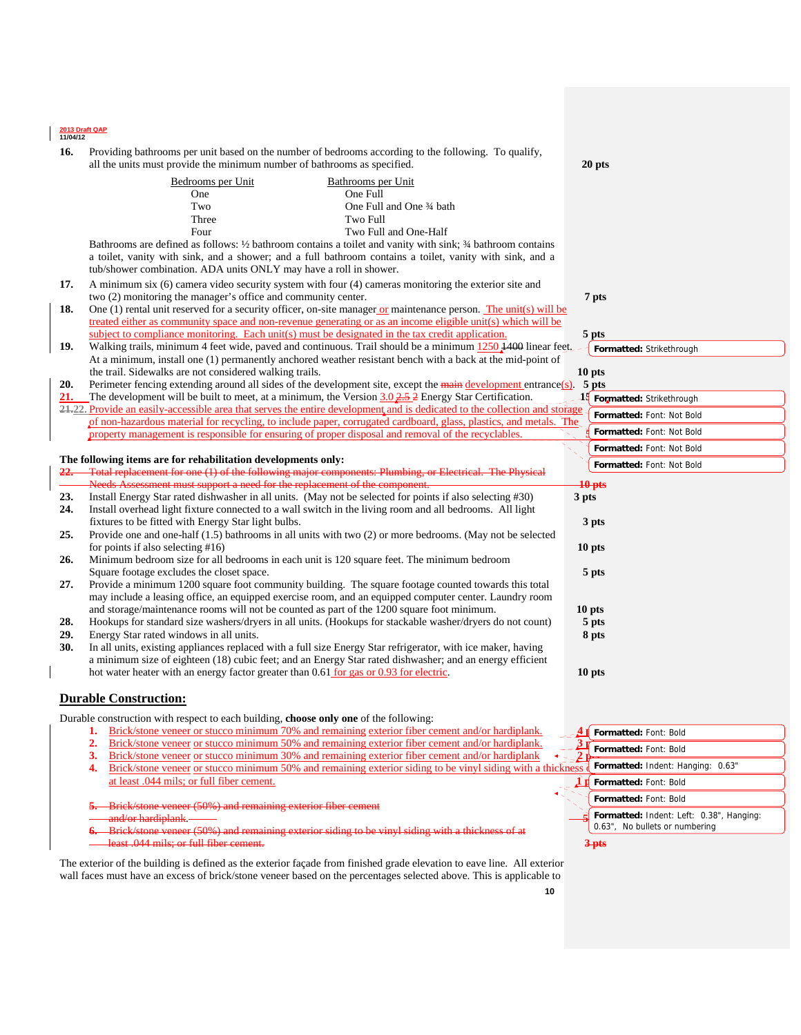**16.** Providing bathrooms per unit based on the number of bedrooms according to the following. To qualify, all the units must provide the minimum number of bathrooms as specified. **20 pts** 

|     | Bedrooms per Unit<br>Bathrooms per Unit                                                                                    |                             |
|-----|----------------------------------------------------------------------------------------------------------------------------|-----------------------------|
|     | One Full<br>One                                                                                                            |                             |
|     | Two<br>One Full and One 34 bath                                                                                            |                             |
|     | Two Full<br>Three                                                                                                          |                             |
|     | Four<br>Two Full and One-Half                                                                                              |                             |
|     | Bathrooms are defined as follows: 1/2 bathroom contains a toilet and vanity with sink; 3/4 bathroom contains               |                             |
|     | a toilet, vanity with sink, and a shower; and a full bathroom contains a toilet, vanity with sink, and a                   |                             |
|     | tub/shower combination. ADA units ONLY may have a roll in shower.                                                          |                             |
| 17. | A minimum six (6) camera video security system with four (4) cameras monitoring the exterior site and                      |                             |
|     | two (2) monitoring the manager's office and community center.                                                              | 7 pts                       |
| 18. | One (1) rental unit reserved for a security officer, on-site manager or maintenance person. The unit(s) will be            |                             |
|     | treated either as community space and non-revenue generating or as an income eligible unit(s) which will be                |                             |
|     | subject to compliance monitoring. Each unit(s) must be designated in the tax credit application.                           | 5 pts                       |
| 19. | Walking trails, minimum 4 feet wide, paved and continuous. Trail should be a minimum $1250,1400$ linear feet.              | Formatted: Strikethrough    |
|     | At a minimum, install one (1) permanently anchored weather resistant bench with a back at the mid-point of                 |                             |
|     | the trail. Sidewalks are not considered walking trails.                                                                    | 10 <sub>pts</sub>           |
| 20. | Perimeter fencing extending around all sides of the development site, except the main development entrance(s). 5 pts       |                             |
| 21. | The development will be built to meet, at a minimum, the Version $3.02\div 52$ Energy Star Certification.                  | 15 Formatted: Strikethrough |
|     | 24-22. Provide an easily-accessible area that serves the entire development and is dedicated to the collection and storage | Formatted: Font: Not Bold   |
|     | of non-hazardous material for recycling, to include paper, corrugated cardboard, glass, plastics, and metals. The          |                             |
|     |                                                                                                                            |                             |
|     | property management is responsible for ensuring of proper disposal and removal of the recyclables.                         | Formatted: Font: Not Bold   |
|     |                                                                                                                            | Formatted: Font: Not Bold   |
|     | The following items are for rehabilitation developments only:                                                              |                             |
|     | Total replacement for one (1) of the following major components: Plumbing, or Electrical. The Physical<br><u> 22. – </u>   | Formatted: Font: Not Bold   |
|     | Needs Assessment must support a need for the replacement of the component.                                                 | 40 <sub>pts</sub>           |
| 23. | Install Energy Star rated dishwasher in all units. (May not be selected for points if also selecting #30)                  | 3 pts                       |
| 24. | Install overhead light fixture connected to a wall switch in the living room and all bedrooms. All light                   |                             |
|     | fixtures to be fitted with Energy Star light bulbs.                                                                        | 3 pts                       |
| 25. | Provide one and one-half (1.5) bathrooms in all units with two (2) or more bedrooms. (May not be selected                  |                             |
|     | for points if also selecting $#16$ )                                                                                       | 10 pts                      |
| 26. | Minimum bedroom size for all bedrooms in each unit is 120 square feet. The minimum bedroom                                 |                             |
|     | Square footage excludes the closet space.                                                                                  | 5 pts                       |
| 27. | Provide a minimum 1200 square foot community building. The square footage counted towards this total                       |                             |
|     | may include a leasing office, an equipped exercise room, and an equipped computer center. Laundry room                     |                             |
|     | and storage/maintenance rooms will not be counted as part of the 1200 square foot minimum.                                 | 10 <sub>pts</sub>           |
| 28. | Hookups for standard size washers/dryers in all units. (Hookups for stackable washer/dryers do not count)                  | 5 pts                       |
| 29. | Energy Star rated windows in all units.                                                                                    | 8 pts                       |
| 30. | In all units, existing appliances replaced with a full size Energy Star refrigerator, with ice maker, having               |                             |
|     | a minimum size of eighteen (18) cubic feet; and an Energy Star rated dishwasher; and an energy efficient                   |                             |
|     | hot water heater with an energy factor greater than 0.61 for gas or 0.93 for electric.                                     | 10 pts                      |

- Durable construction with respect to each building, **choose only one** of the following: **1.** Brick/stone veneer or stucco minimum 70% and remaining exterior fiber cement and/or hardiplank.
	- **2.** Brick/stone veneer or stucco minimum 50% and remaining exterior fiber cement and/or hardiplank.
	- **3.** Brick/stone veneer or stucco minimum 30% and remaining exterior fiber cement and/or hardiplank
	- **4.** Brick/stone veneer or stucco minimum 50% and remaining exterior siding to be vinyl siding with a th
	- at least .044 mils; or full fiber cement.
	- **5.** Brick/stone veneer (50%) and remaining exterior fiber cement and/or hardiplank. **5 pts**

**6.** Brick/stone veneer (50%) and remaining exterior siding to be vinyl siding with a thickness of at least .044 mils; or full fiber cement. **3 pts**

The exterior of the building is defined as the exterior façade from finished grade elevation to eave line. All exterior wall faces must have an excess of brick/stone veneer based on the percentages selected above. This is applicable to

**Formatted:** Font: Bold **Formatted:** Font: Bold **Formatted:** Indent: Hanging: 0.63" **Formatted:** Font: Bold **Formatted:** Font: Bold **Formatted:** Indent: Left: 0.38", Hanging: 0.63", No bullets or numbering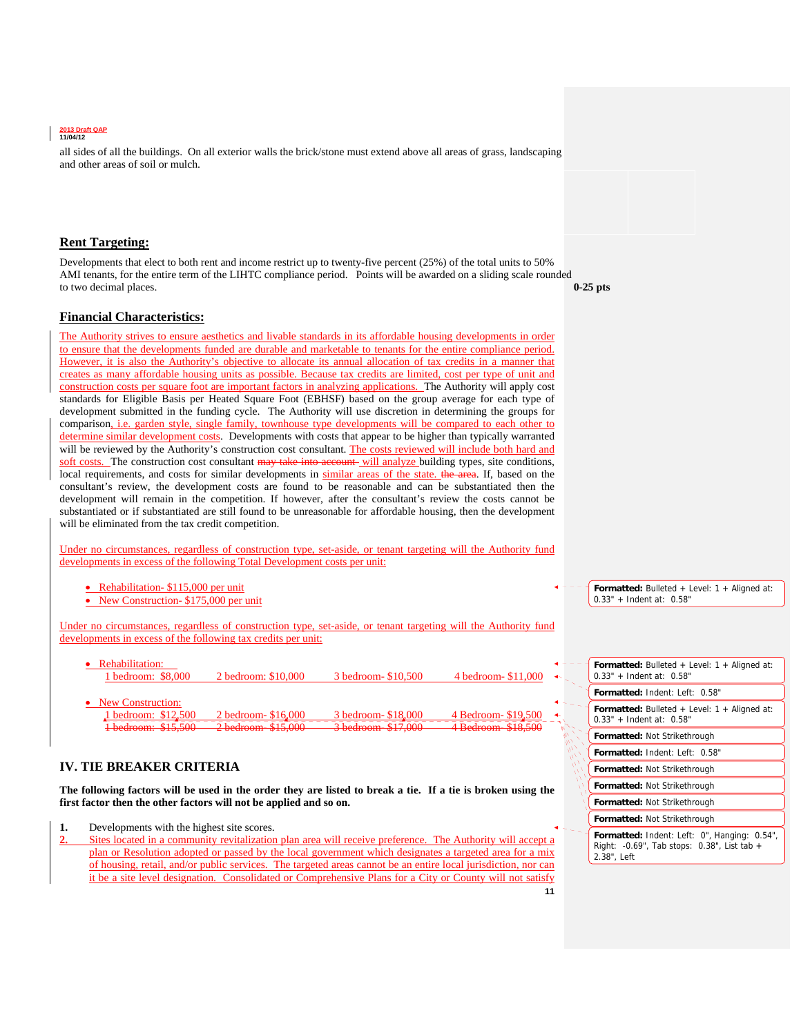all sides of all the buildings. On all exterior walls the brick/stone must extend above all areas of grass, landscaping and other areas of soil or mulch.

#### **Rent Targeting:**

Developments that elect to both rent and income restrict up to twenty-five percent (25%) of the total units to 50% AMI tenants, for the entire term of the LIHTC compliance period. Points will be awarded on a sliding scale rounded to two decimal places. 0-25 pts to two decimal places.

#### **Financial Characteristics:**

The Authority strives to ensure aesthetics and livable standards in its affordable housing developments in order to ensure that the developments funded are durable and marketable to tenants for the entire compliance period. However, it is also the Authority's objective to allocate its annual allocation of tax credits in a manner that creates as many affordable housing units as possible. Because tax credits are limited, cost per type of unit and construction costs per square foot are important factors in analyzing applications. The Authority will apply cost standards for Eligible Basis per Heated Square Foot (EBHSF) based on the group average for each type of development submitted in the funding cycle. The Authority will use discretion in determining the groups for comparison, i.e. garden style, single family, townhouse type developments will be compared to each other to determine similar development costs. Developments with costs that appear to be higher than typically warranted will be reviewed by the Authority's construction cost consultant. The costs reviewed will include both hard and soft costs. The construction cost consultant may take into account will analyze building types, site conditions, local requirements, and costs for similar developments in similar areas of the state. the area. If, based on the consultant's review, the development costs are found to be reasonable and can be substantiated then the development will remain in the competition. If however, after the consultant's review the costs cannot be substantiated or if substantiated are still found to be unreasonable for affordable housing, then the development will be eliminated from the tax credit competition.

Under no circumstances, regardless of construction type, set-aside, or tenant targeting will the Authority fund developments in excess of the following Total Development costs per unit:

• Rehabilitation- \$115,000 per unit

• New Construction- \$175,000 per unit

Under no circumstances, regardless of construction type, set-aside, or tenant targeting will the Authority fund developments in excess of the following tax credits per unit:

| • Rehabilitation:     |                     |                      |                        |                      |
|-----------------------|---------------------|----------------------|------------------------|----------------------|
| 1 bedroom: \$8,000    | 2 bedroom: \$10,000 | 3 bedroom - \$10,500 | 4 bedroom- \$11,000    | $\blacktriangleleft$ |
|                       |                     |                      |                        |                      |
| • New Construction:   |                     |                      |                        |                      |
| $1$ bedroom: \$12,500 | 2 bedroom- \$16,000 | 3 bedroom - \$18,000 | 4 Bedroom- \$19,500    |                      |
| $1$ hadroom: $$15500$ |                     |                      | $ADequation$ $0.10500$ |                      |

#### **IV. TIE BREAKER CRITERIA**

**The following factors will be used in the order they are listed to break a tie. If a tie is broken using the first factor then the other factors will not be applied and so on.** 

**1.** Developments with the highest site scores.

**2.** Sites located in a community revitalization plan area will receive preference. The Authority will accept a plan or Resolution adopted or passed by the local government which designates a targeted area for a mix of housing, retail, and/or public services. The targeted areas cannot be an entire local jurisdiction, nor can it be a site level designation. Consolidated or Comprehensive Plans for a City or County will not satisfy

**Formatted:** Bulleted + Level: 1 + Aligned at: 0.33" + Indent at: 0.58"

|         | <b>Formatted:</b> Bulleted + Level: $1 +$ Aligned at:<br>$0.33" +$ Indent at: $0.58"$                                     |
|---------|---------------------------------------------------------------------------------------------------------------------------|
|         | <b>Formatted: Indent: Left: 0.58"</b>                                                                                     |
|         | <b>Formatted:</b> Bulleted + Level: $1 +$ Aligned at:<br>$0.33" +$ Indent at: $0.58"$                                     |
| Ž.      | Formatted: Not Strikethrough                                                                                              |
| X<br>ΛN | <b>Formatted: Indent: Left: 0.58"</b>                                                                                     |
| a١      | <b>Formatted: Not Strikethrough</b>                                                                                       |
|         | <b>Formatted: Not Strikethrough</b>                                                                                       |
|         | <b>Formatted: Not Strikethrough</b>                                                                                       |
|         | Formatted: Not Strikethrough                                                                                              |
|         | <b>Formatted: Indent: Left: 0", Hanging: 0.54",</b><br>Right: $-0.69$ ", Tab stops: $0.38$ ", List tab $+$<br>2.38", Left |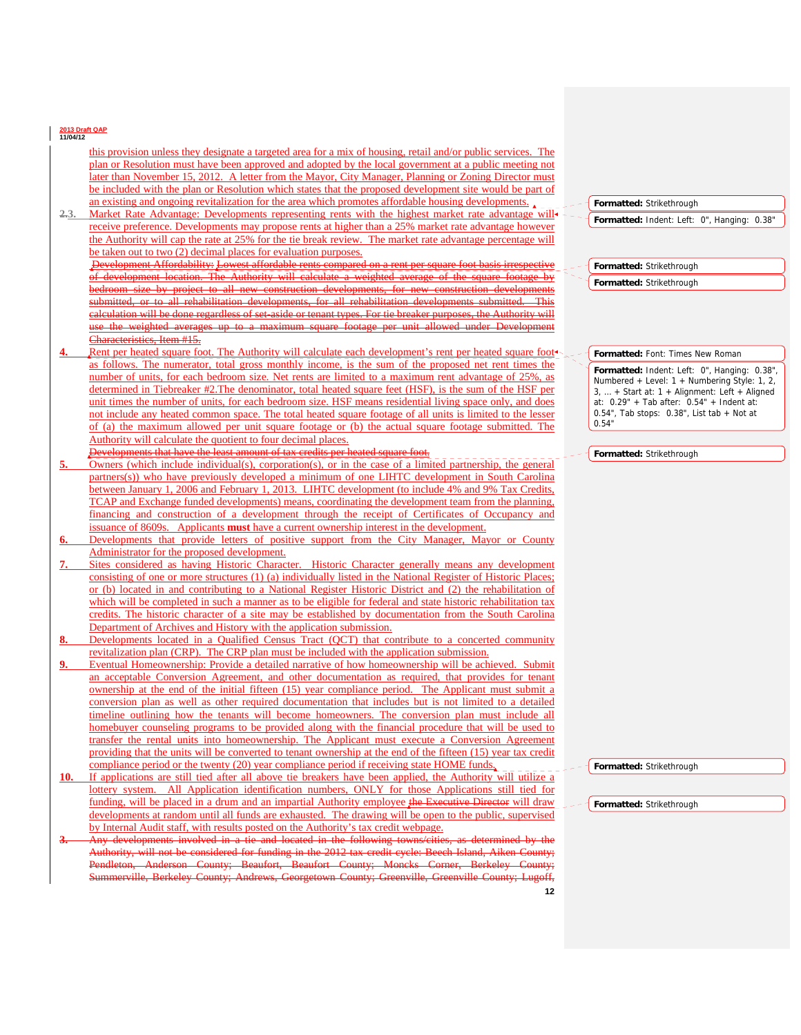- this provision unless they designate a targeted area for a mix of housing, retail and/or public services. The plan or Resolution must have been approved and adopted by the local government at a public meeting not later than November 15, 2012. A letter from the Mayor, City Manager, Planning or Zoning Director must be included with the plan or Resolution which states that the proposed development site would be part of an existing and ongoing revitalization for the area which promotes affordable housing developments.
- **2.3.** Market Rate Advantage: Developments representing rents with the highest market rate advantage will receive preference. Developments may propose rents at higher than a 25% market rate advantage however the Authority will cap the rate at 25% for the tie break review. The market rate advantage percentage will be taken out to two (2) decimal places for evaluation purposes.
	- Development Affordability: Lowest affordable rents compared on a rent per square foot basis irrespective of development location. The Authority will calculate a weighted average of the square footage by bedroom size by project to all new construction developments, for new construction developments submitted, or to all rehabilitation developments, for all rehabilitation developments submitted. This calculation will be done regardless of set-aside or tenant types. For tie breaker purposes, the Authority will use the weighted averages up to a maximum square footage per unit allowed under Development Characteristics, Item #15.
- **4.** Rent per heated square foot. The Authority will calculate each development's rent per heated square foot as follows. The numerator, total gross monthly income, is the sum of the proposed net rent times the number of units, for each bedroom size. Net rents are limited to a maximum rent advantage of 25%, as determined in Tiebreaker #2.The denominator, total heated square feet (HSF), is the sum of the HSF per unit times the number of units, for each bedroom size. HSF means residential living space only, and does not include any heated common space. The total heated square footage of all units is limited to the lesser of (a) the maximum allowed per unit square footage or (b) the actual square footage submitted. The Authority will calculate the quotient to four decimal places.
- Developments that have the least amount of tax credits per heated square **<u>Owners (which include individual(s), corporation(s), or in the case of a limited partnership, the general</u>** partners(s)) who have previously developed a minimum of one LIHTC development in South Carolina between January 1, 2006 and February 1, 2013. LIHTC development (to include 4% and 9% Tax Credits, TCAP and Exchange funded developments) means, coordinating the development team from the planning, financing and construction of a development through the receipt of Certificates of Occupancy and issuance of 8609s. Applicants **must** have a current ownership interest in the development.
- **6.** Developments that provide letters of positive support from the City Manager, Mayor or County Administrator for the proposed development.
- Sites considered as having Historic Character. Historic Character generally means any development consisting of one or more structures (1) (a) individually listed in the National Register of Historic Places; or (b) located in and contributing to a National Register Historic District and (2) the rehabilitation of which will be completed in such a manner as to be eligible for federal and state historic rehabilitation tax credits. The historic character of a site may be established by documentation from the South Carolina Department of Archives and History with the application submission.
- **8.** Developments located in a Qualified Census Tract (QCT) that contribute to a concerted community revitalization plan (CRP). The CRP plan must be included with the application submission.
- **9.** Eventual Homeownership: Provide a detailed narrative of how homeownership will be achieved. Submit an acceptable Conversion Agreement, and other documentation as required, that provides for tenant ownership at the end of the initial fifteen (15) year compliance period. The Applicant must submit a conversion plan as well as other required documentation that includes but is not limited to a detailed timeline outlining how the tenants will become homeowners. The conversion plan must include all homebuyer counseling programs to be provided along with the financial procedure that will be used to transfer the rental units into homeownership. The Applicant must execute a Conversion Agreement providing that the units will be converted to tenant ownership at the end of the fifteen (15) year tax credit compliance period or the twenty (20) year compliance period if receiving state HOME funds.
- **10.** If applications are still tied after all above tie breakers have been applied, the Authority will utilize a lottery system. All Application identification numbers, ONLY for those Applications still tied for funding, will be placed in a drum and an impartial Authority employee the Executive Director will draw developments at random until all funds are exhausted. The drawing will be open to the public, supervised by Internal Audit staff, with results posted on the Authority's tax credit webpage.
- **12** developments involved in a tie and located in the following towns/cities Authority, will not be considered for funding in the 2012 tax credit cycle: Beech Island, Aiken County; **Prich County; Beaufort, Beaufort County; Moncks Corner,** Summerville, Berkeley County; Andrews, Georgetown County; Greenville, Greenville County; Lugoff,

#### **Formatted:** Strikethrough

**Formatted:** Indent: Left: 0", Hanging: 0.38"

**Formatted:** Strikethrough

**Formatted:** Strikethrough

#### **Formatted:** Font: Times New Roman

**Formatted:** Indent: Left: 0", Hanging: 0.38", Numbered + Level: 1 + Numbering Style: 1, 2, 3, … + Start at: 1 + Alignment: Left + Aligned at: 0.29" + Tab after: 0.54" + Indent at: 0.54", Tab stops: 0.38", List tab + Not at 0.54"

**Formatted:** Strikethrough

**Formatted:** Strikethrough

**Formatted:** Strikethrough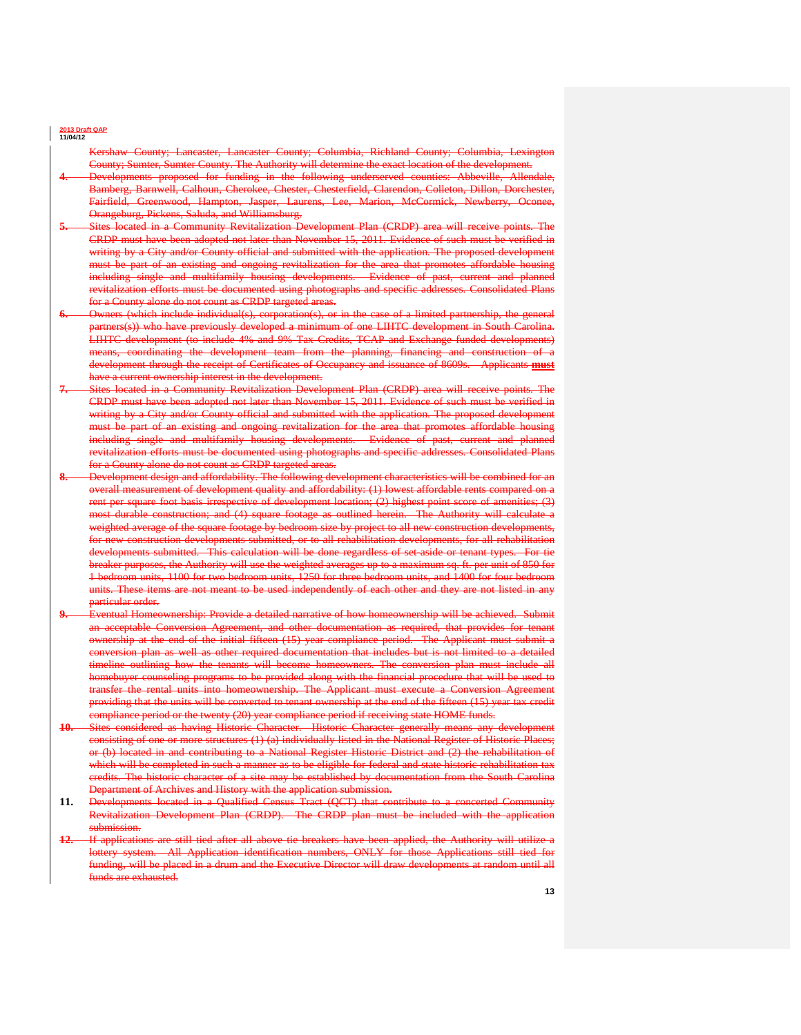County; Lancaster, Lancaster County; Columbia, Richland County; Columbia, Lexington County; Sumter, Sumter County. The Authority will determine the exact location of the development.

- **4.** Developments proposed for funding in the following underserved counties: Abbeville, Allendale, Bamberg, Barnwell, Calhoun, Cherokee, Chester, Chesterfield, Clarendon, Colleton, Dillon, Dorchester, Fairfield, Greenwood, Hampton, Jasper, Laurens, Lee, Marion, McCormick, Newberry Orangeburg, Pickens, Saluda, and Williamsburg.
- **5.** Sites located in a Community Revitalization Development Plan (CRDP) area will receive points. The CRDP must have been adopted not later than November 15, 2011. Evidence of such must be verified in writing by a City and/or County official and submitted with the application. The proposed development must be part of an existing and ongoing revitalization for the area that promotes affordable housing including single and multifamily housing developments. Evidence of past, current and planned revitalization efforts must be documented using photographs and specific addresses. Consolidated Plans for a County alone do not count as CRDP targeted areas.
- **6.** Owners (which include individual(s), corporation(s), or in the case of a limited partnership, the general artners(s)) who have previously developed a minimum of one LIHTC development in South Carolina. LIHTC development (to include 4% and 9% Tax Credits, TCAP and Exchange funded developments) means, coordinating the development team from the planning, financing and construction of a development through the receipt of Certificates of Occupancy and issuance of 8609s. Applicants **must**  have a current ownership interest in the development.
- **7.** Sites located in a Community Revitalization Development Plan (CRDP) area will receive points. The CRDP must have been adopted not later than November 15, 2011. Evidence of such must be verified in writing by a City and/or County official and submitted with the application. The proposed development must be part of an existing and ongoing revitalization for the area that promotes affordable housing including single and multifamily housing developments. Evidence of past, current and planned revitalization efforts must be documented using photographs and specific addresses. Consolidated Plans for a County alone do not count as CRDP targeted areas.
- **8.** Development design and affordability. The following development characteristics will be combined for an overall measurement of development quality and affordability: (1) lowest affordable rents compared on a rent per square foot basis irrespective of development location; (2) highest point score of amenities; (3) most durable construction; and (4) square footage as outlined herein. The Authority will calculate a weighted average of the square footage by bedroom size by project to all new construction developments, for new construction developments submitted, or to all rehabilitation developments, for all rehabilitation developments submitted. This calculation will be done regardless of set-aside or tenant types. For tie breaker purposes, the Authority will use the weighted averages up to a maximum sq. ft. per unit of 850 for 1 bedroom units, 1100 for two bedroom units, 1250 for three bedroom units, and 1400 for four bedroom units. These items are not meant to be used independently of each other and they are not listed in any particular order.
- **9.** Eventual Homeownership: Provide a detailed narrative of how homeownership will be achieved. Submit an acceptable Conversion Agreement, and other documentation as required, that provides for tenant ownership at the end of the initial fifteen (15) year compliance period. The Applicant must submit a conversion plan as well as other required documentation that includes but is not limited to a detailed timeline outlining how the tenants will become homeowners. The conversion plan must include all homebuyer counseling programs to be provided along with the financial procedure that will be used to transfer the rental units into homeownership. The Applicant must execute a Conversion Agreement providing that the units will be converted to tenant ownership at the end of the fifteen (15) year tax credit compliance period or the twenty (20) year compliance period if receiving state HOME funds.
- **10.** Sites considered as having Historic Character. Historic Character generally means any development consisting of one or more structures (1) (a) individually listed in the National Register of Historic Places; or (b) located in and contributing to a National Register Historic District and (2) the rehabilitation of which will be completed in such a manner as to be eligible for federal and state historic rehabilitation tax credits. The historic character of a site may be established by documentation from the South Carolina Department of Archives and History with the application submission.
- **11.** Developments located in a Qualified Census Tract (QCT) that contribute to a concerted Community Revitalization Development Plan (CRDP). The CRDP plan must be included with the application submission.
- 12. If applications are still tied after all above tie breakers have been applied, the Authority will utilize lottery system. All Application identification numbers, ONLY for those Applications still tied for system. All Application identification numbers, ONLY for those Applications still tied for funding, will be placed in a drum and the Executive Director will draw develop funds are exhausted.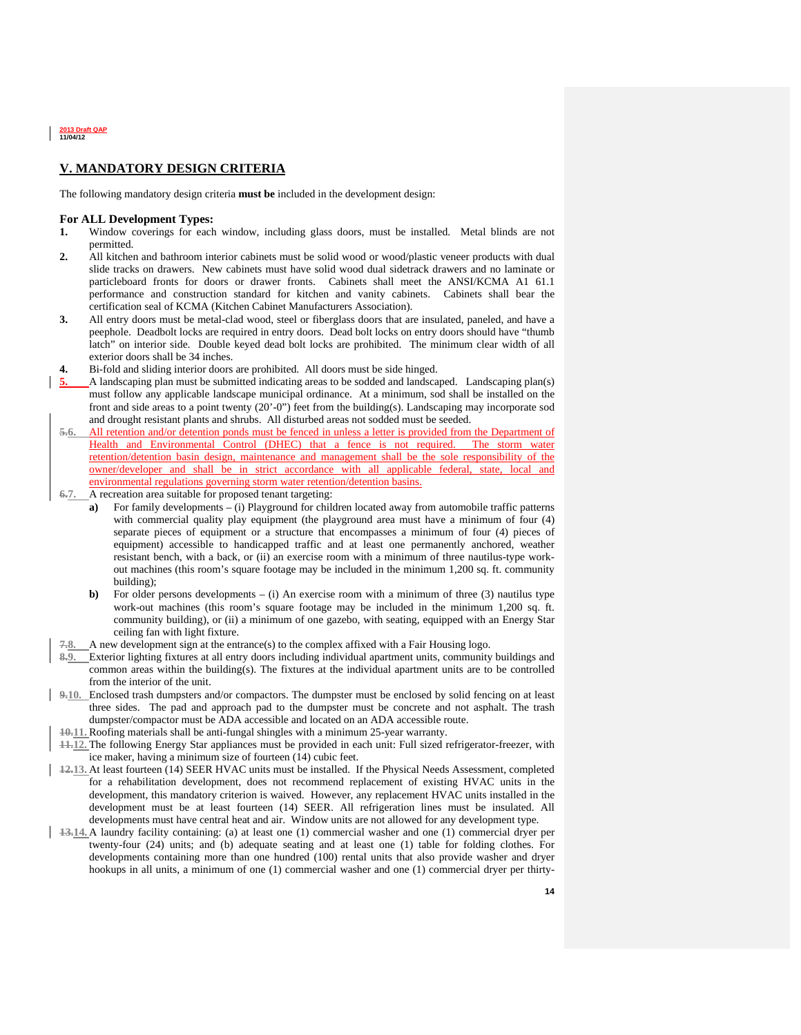

# **V. MANDATORY DESIGN CRITERIA**

The following mandatory design criteria **must be** included in the development design:

#### **For ALL Development Types:**

- **1.** Window coverings for each window, including glass doors, must be installed. Metal blinds are not permitted.
- **2.** All kitchen and bathroom interior cabinets must be solid wood or wood/plastic veneer products with dual slide tracks on drawers. New cabinets must have solid wood dual sidetrack drawers and no laminate or particleboard fronts for doors or drawer fronts. Cabinets shall meet the ANSI/KCMA A1 61.1 performance and construction standard for kitchen and vanity cabinets. Cabinets shall bear the certification seal of KCMA (Kitchen Cabinet Manufacturers Association).
- **3.** All entry doors must be metal-clad wood, steel or fiberglass doors that are insulated, paneled, and have a peephole. Deadbolt locks are required in entry doors. Dead bolt locks on entry doors should have "thumb latch" on interior side. Double keyed dead bolt locks are prohibited. The minimum clear width of all exterior doors shall be 34 inches.
- **4.** Bi-fold and sliding interior doors are prohibited. All doors must be side hinged.
- **5.** A landscaping plan must be submitted indicating areas to be sodded and landscaped. Landscaping plan(s) must follow any applicable landscape municipal ordinance. At a minimum, sod shall be installed on the front and side areas to a point twenty (20'-0") feet from the building(s). Landscaping may incorporate sod and drought resistant plants and shrubs. All disturbed areas not sodded must be seeded.
- **5.6.** All retention and/or detention ponds must be fenced in unless a letter is provided from the Department of Health and Environmental Control (DHEC) that a fence is not required. The storm water retention/detention basin design, maintenance and management shall be the sole responsibility of the owner/developer and shall be in strict accordance with all applicable federal, state, local and environmental regulations governing storm water retention/detention basins.
- **6.7.** A recreation area suitable for proposed tenant targeting:
	- **a)** For family developments (i) Playground for children located away from automobile traffic patterns with commercial quality play equipment (the playground area must have a minimum of four (4) separate pieces of equipment or a structure that encompasses a minimum of four (4) pieces of equipment) accessible to handicapped traffic and at least one permanently anchored, weather resistant bench, with a back, or (ii) an exercise room with a minimum of three nautilus-type workout machines (this room's square footage may be included in the minimum 1,200 sq. ft. community building);
	- **b**) For older persons developments (i) An exercise room with a minimum of three (3) nautilus type work-out machines (this room's square footage may be included in the minimum 1,200 sq. ft. community building), or (ii) a minimum of one gazebo, with seating, equipped with an Energy Star ceiling fan with light fixture.
- **7.8.** A new development sign at the entrance(s) to the complex affixed with a Fair Housing logo.
- **8.9.** Exterior lighting fixtures at all entry doors including individual apartment units, community buildings and common areas within the building(s). The fixtures at the individual apartment units are to be controlled from the interior of the unit.
- **9.10.** Enclosed trash dumpsters and/or compactors. The dumpster must be enclosed by solid fencing on at least three sides. The pad and approach pad to the dumpster must be concrete and not asphalt. The trash dumpster/compactor must be ADA accessible and located on an ADA accessible route.
- **10.11.** Roofing materials shall be anti-fungal shingles with a minimum 25-year warranty.
- **11.12.** The following Energy Star appliances must be provided in each unit: Full sized refrigerator-freezer, with ice maker, having a minimum size of fourteen (14) cubic feet.
- **12.13.** At least fourteen (14) SEER HVAC units must be installed. If the Physical Needs Assessment, completed for a rehabilitation development, does not recommend replacement of existing HVAC units in the development, this mandatory criterion is waived. However, any replacement HVAC units installed in the development must be at least fourteen (14) SEER. All refrigeration lines must be insulated. All developments must have central heat and air. Window units are not allowed for any development type.
- **13.14.** A laundry facility containing: (a) at least one (1) commercial washer and one (1) commercial dryer per twenty-four (24) units; and (b) adequate seating and at least one (1) table for folding clothes. For developments containing more than one hundred (100) rental units that also provide washer and dryer hookups in all units, a minimum of one (1) commercial washer and one (1) commercial dryer per thirty-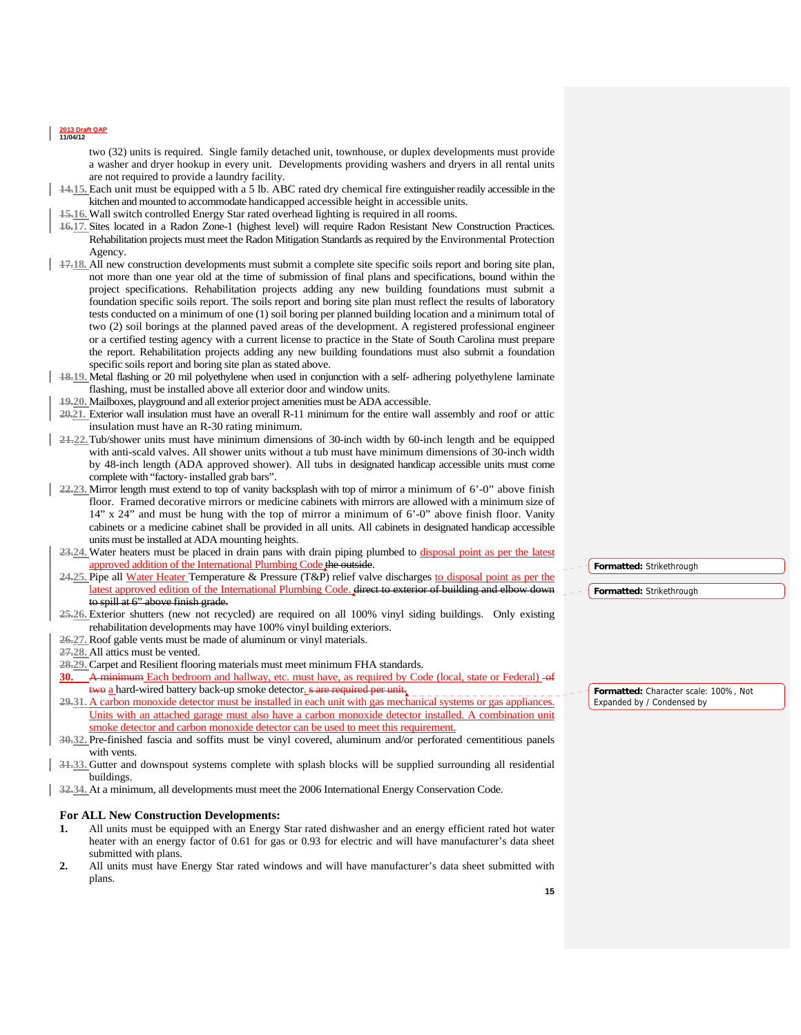two (32) units is required. Single family detached unit, townhouse, or duplex developments must provide a washer and dryer hookup in every unit. Developments providing washers and dryers in all rental units are not required to provide a laundry facility.

- **14.15.**Each unit must be equipped with a 5 lb. ABC rated dry chemical fire extinguisher readily accessible in the kitchen and mounted to accommodate handicapped accessible height in accessible units.
- **15.16.**Wall switch controlled Energy Star rated overhead lighting is required in all rooms.
- **16.17.** Sites located in a Radon Zone-1 (highest level) will require Radon Resistant New Construction Practices. Rehabilitation projects must meet the Radon Mitigation Standards as required by the Environmental Protection Agency.
- **17.18.** All new construction developments must submit a complete site specific soils report and boring site plan, not more than one year old at the time of submission of final plans and specifications, bound within the project specifications. Rehabilitation projects adding any new building foundations must submit a foundation specific soils report. The soils report and boring site plan must reflect the results of laboratory tests conducted on a minimum of one (1) soil boring per planned building location and a minimum total of two (2) soil borings at the planned paved areas of the development. A registered professional engineer or a certified testing agency with a current license to practice in the State of South Carolina must prepare the report. Rehabilitation projects adding any new building foundations must also submit a foundation specific soils report and boring site plan as stated above.
- **18.19.** Metal flashing or 20 mil polyethylene when used in conjunction with a self- adhering polyethylene laminate flashing, must be installed above all exterior door and window units.
- **19.20.** Mailboxes, playground and all exterior project amenities must be ADA accessible.
- **20.21.** Exterior wall insulation must have an overall R-11 minimum for the entire wall assembly and roof or attic insulation must have an R-30 rating minimum.
- **21.22.**Tub/shower units must have minimum dimensions of 30-inch width by 60-inch length and be equipped with anti-scald valves. All shower units without a tub must have minimum dimensions of 30-inch width by 48-inch length (ADA approved shower). All tubs in designated handicap accessible units must come complete with "factory- installed grab bars".
- **22.23.** Mirror length must extend to top of vanity backsplash with top of mirror a minimum of 6'-0" above finish floor. Framed decorative mirrors or medicine cabinets with mirrors are allowed with a minimum size of 14" x 24" and must be hung with the top of mirror a minimum of 6'-0" above finish floor. Vanity cabinets or a medicine cabinet shall be provided in all units. All cabinets in designated handicap accessible units must be installed at ADA mounting heights.
- **23.24.** Water heaters must be placed in drain pans with drain piping plumbed to disposal point as per the latest approved addition of the International Plumbing Code the outside.
- **24.25.** Pipe all Water Heater Temperature & Pressure (T&P) relief valve discharges to disposal point as per the latest approved edition of the International Plumbing Code. direct to exterior of building and elbow down to spill at 6" above finish grade.
- **25.26.** Exterior shutters (new not recycled) are required on all 100% vinyl siding buildings. Only existing rehabilitation developments may have 100% vinyl building exteriors.
- **26.27.** Roof gable vents must be made of aluminum or vinyl materials.

**27.28.** All attics must be vented.

- **28.29.** Carpet and Resilient flooring materials must meet minimum FHA standards.
- **30.** A minimum Each bedroom and hallway, etc. must have, as required by Code (local, state or Federal) of  $\frac{1}{2}$  two a hard-wired battery back-up smoke detector.  $\frac{1}{2}$  s are required per unit.
- **29.31.** A carbon monoxide detector must be installed in each unit with gas mechanical systems or gas appliances. Units with an attached garage must also have a carbon monoxide detector installed. A combination unit smoke detector and carbon monoxide detector can be used to meet this requirement.
- **30.32.** Pre-finished fascia and soffits must be vinyl covered, aluminum and/or perforated cementitious panels with vents.
- **31.33.** Gutter and downspout systems complete with splash blocks will be supplied surrounding all residential buildings.
- **32.34.** At a minimum, all developments must meet the 2006 International Energy Conservation Code.

#### **For ALL New Construction Developments:**

- **1.** All units must be equipped with an Energy Star rated dishwasher and an energy efficient rated hot water heater with an energy factor of 0.61 for gas or 0.93 for electric and will have manufacturer's data sheet submitted with plans.
- **2.** All units must have Energy Star rated windows and will have manufacturer's data sheet submitted with plans.

**Formatted:** Strikethrough

**Formatted:** Strikethrough

**Formatted:** Character scale: 100%, Not Expanded by / Condensed by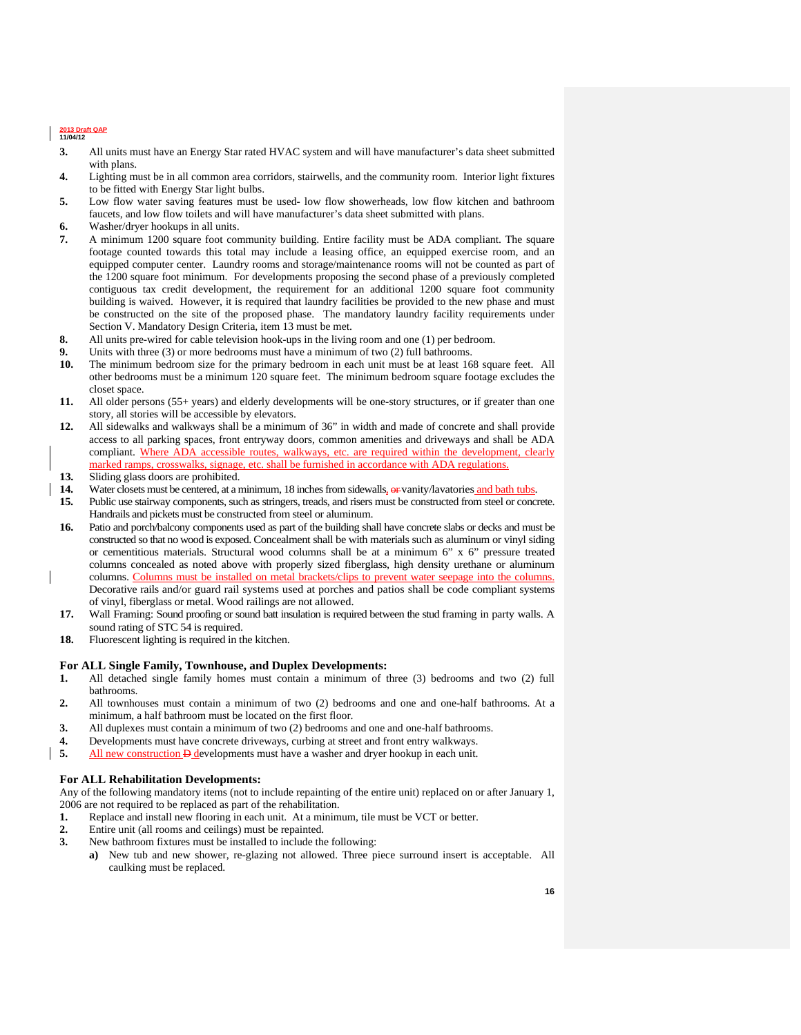- **3.** All units must have an Energy Star rated HVAC system and will have manufacturer's data sheet submitted with plans.
- **4.** Lighting must be in all common area corridors, stairwells, and the community room. Interior light fixtures to be fitted with Energy Star light bulbs.
- **5.** Low flow water saving features must be used- low flow showerheads, low flow kitchen and bathroom faucets, and low flow toilets and will have manufacturer's data sheet submitted with plans.
- **6.** Washer/dryer hookups in all units.
- **7.** A minimum 1200 square foot community building. Entire facility must be ADA compliant. The square footage counted towards this total may include a leasing office, an equipped exercise room, and an equipped computer center. Laundry rooms and storage/maintenance rooms will not be counted as part of the 1200 square foot minimum. For developments proposing the second phase of a previously completed contiguous tax credit development, the requirement for an additional 1200 square foot community building is waived. However, it is required that laundry facilities be provided to the new phase and must be constructed on the site of the proposed phase. The mandatory laundry facility requirements under Section V. Mandatory Design Criteria, item 13 must be met.
- **8.** All units pre-wired for cable television hook-ups in the living room and one (1) per bedroom.
- **9.** Units with three (3) or more bedrooms must have a minimum of two (2) full bathrooms.
- **10.** The minimum bedroom size for the primary bedroom in each unit must be at least 168 square feet. All other bedrooms must be a minimum 120 square feet. The minimum bedroom square footage excludes the closet space.
- **11.** All older persons (55+ years) and elderly developments will be one-story structures, or if greater than one story, all stories will be accessible by elevators.
- **12.** All sidewalks and walkways shall be a minimum of 36" in width and made of concrete and shall provide access to all parking spaces, front entryway doors, common amenities and driveways and shall be ADA compliant. Where ADA accessible routes, walkways, etc. are required within the development, clearly marked ramps, crosswalks, signage, etc. shall be furnished in accordance with ADA regulations.
- **13.** Sliding glass doors are prohibited.
- **14.** Water closets must be centered, at a minimum, 18 inches from sidewalls, or vanity/lavatories and bath tubs.
- **15.** Public use stairway components, such as stringers, treads, and risers must be constructed from steel or concrete. Handrails and pickets must be constructed from steel or aluminum.
- **16.** Patio and porch/balcony components used as part of the building shall have concrete slabs or decks and must be constructed so that no wood is exposed. Concealment shall be with materials such as aluminum or vinyl siding or cementitious materials. Structural wood columns shall be at a minimum 6" x 6" pressure treated columns concealed as noted above with properly sized fiberglass, high density urethane or aluminum columns. Columns must be installed on metal brackets/clips to prevent water seepage into the columns. Decorative rails and/or guard rail systems used at porches and patios shall be code compliant systems of vinyl, fiberglass or metal. Wood railings are not allowed.
- **17.** Wall Framing: Sound proofing or sound batt insulation is required between the stud framing in party walls. A sound rating of STC 54 is required.
- **18.** Fluorescent lighting is required in the kitchen.

#### **For ALL Single Family, Townhouse, and Duplex Developments:**

- **1.** All detached single family homes must contain a minimum of three (3) bedrooms and two (2) full bathrooms.
- **2.** All townhouses must contain a minimum of two (2) bedrooms and one and one-half bathrooms. At a minimum, a half bathroom must be located on the first floor.
- **3.** All duplexes must contain a minimum of two (2) bedrooms and one and one-half bathrooms.
- **4.** Developments must have concrete driveways, curbing at street and front entry walkways.<br> **4.** All new construction **D** developments must have a washer and dryer hookup in each unit.
- All new construction  $\frac{D}{D}$  developments must have a washer and dryer hookup in each unit.

#### **For ALL Rehabilitation Developments:**

Any of the following mandatory items (not to include repainting of the entire unit) replaced on or after January 1, 2006 are not required to be replaced as part of the rehabilitation.

- **1.** Replace and install new flooring in each unit. At a minimum, tile must be VCT or better.
- **2.** Entire unit (all rooms and ceilings) must be repainted.
- **3.** New bathroom fixtures must be installed to include the following:
	- **a)** New tub and new shower, re-glazing not allowed. Three piece surround insert is acceptable. All caulking must be replaced.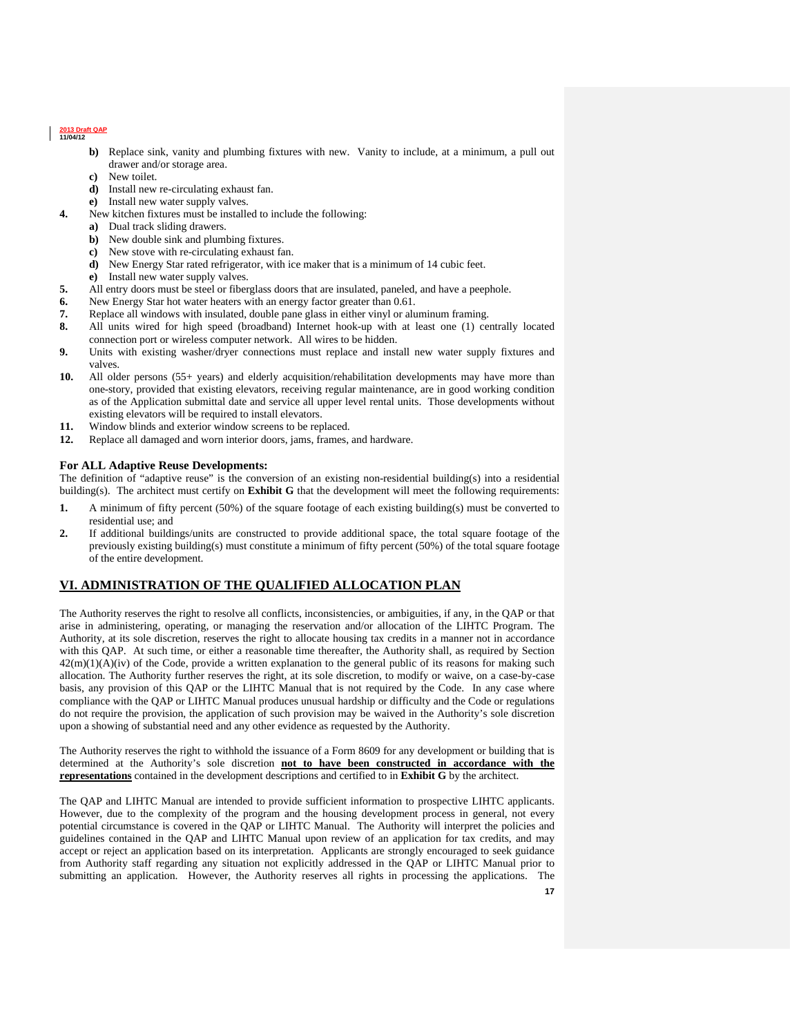- **b)** Replace sink, vanity and plumbing fixtures with new. Vanity to include, at a minimum, a pull out drawer and/or storage area.
- **c)** New toilet.
- **d)** Install new re-circulating exhaust fan.
- **e)** Install new water supply valves.
- **4.** New kitchen fixtures must be installed to include the following:
	- **a)** Dual track sliding drawers.
		- **b)** New double sink and plumbing fixtures.
		- **c)** New stove with re-circulating exhaust fan.
	- **d)** New Energy Star rated refrigerator, with ice maker that is a minimum of 14 cubic feet.
	- **e)** Install new water supply valves.
- **5.** All entry doors must be steel or fiberglass doors that are insulated, paneled, and have a peephole.
- **6.** New Energy Star hot water heaters with an energy factor greater than 0.61.
- **7.** Replace all windows with insulated, double pane glass in either vinyl or aluminum framing.
- **8.** All units wired for high speed (broadband) Internet hook-up with at least one (1) centrally located connection port or wireless computer network. All wires to be hidden.
- **9.** Units with existing washer/dryer connections must replace and install new water supply fixtures and valves.
- **10.** All older persons (55+ years) and elderly acquisition/rehabilitation developments may have more than one-story, provided that existing elevators, receiving regular maintenance, are in good working condition as of the Application submittal date and service all upper level rental units. Those developments without existing elevators will be required to install elevators.
- **11.** Window blinds and exterior window screens to be replaced.
- **12.** Replace all damaged and worn interior doors, jams, frames, and hardware.

#### **For ALL Adaptive Reuse Developments:**

The definition of "adaptive reuse" is the conversion of an existing non-residential building(s) into a residential building(s). The architect must certify on **Exhibit G** that the development will meet the following requirements:

- **1.** A minimum of fifty percent (50%) of the square footage of each existing building(s) must be converted to residential use; and
- **2.** If additional buildings/units are constructed to provide additional space, the total square footage of the previously existing building(s) must constitute a minimum of fifty percent (50%) of the total square footage of the entire development.

# **VI. ADMINISTRATION OF THE QUALIFIED ALLOCATION PLAN**

The Authority reserves the right to resolve all conflicts, inconsistencies, or ambiguities, if any, in the QAP or that arise in administering, operating, or managing the reservation and/or allocation of the LIHTC Program. The Authority, at its sole discretion, reserves the right to allocate housing tax credits in a manner not in accordance with this QAP. At such time, or either a reasonable time thereafter, the Authority shall, as required by Section  $42(m)(1)(A)(iv)$  of the Code, provide a written explanation to the general public of its reasons for making such allocation. The Authority further reserves the right, at its sole discretion, to modify or waive, on a case-by-case basis, any provision of this QAP or the LIHTC Manual that is not required by the Code. In any case where compliance with the QAP or LIHTC Manual produces unusual hardship or difficulty and the Code or regulations do not require the provision, the application of such provision may be waived in the Authority's sole discretion upon a showing of substantial need and any other evidence as requested by the Authority.

The Authority reserves the right to withhold the issuance of a Form 8609 for any development or building that is determined at the Authority's sole discretion **not to have been constructed in accordance with the representations** contained in the development descriptions and certified to in **Exhibit G** by the architect.

The QAP and LIHTC Manual are intended to provide sufficient information to prospective LIHTC applicants. However, due to the complexity of the program and the housing development process in general, not every potential circumstance is covered in the QAP or LIHTC Manual. The Authority will interpret the policies and guidelines contained in the QAP and LIHTC Manual upon review of an application for tax credits, and may accept or reject an application based on its interpretation. Applicants are strongly encouraged to seek guidance from Authority staff regarding any situation not explicitly addressed in the QAP or LIHTC Manual prior to submitting an application. However, the Authority reserves all rights in processing the applications. The